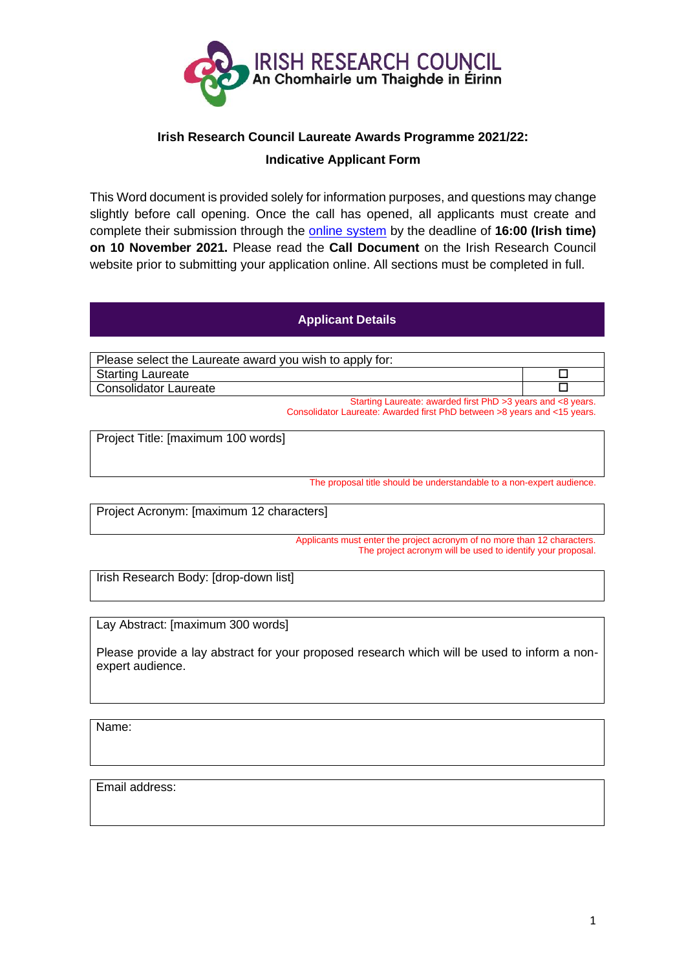

# **Irish Research Council Laureate Awards Programme 2021/22:**

## **Indicative Applicant Form**

This Word document is provided solely for information purposes, and questions may change slightly before call opening. Once the call has opened, all applicants must create and complete their submission through the [online system](https://irishresearch.smartsimple.ie/) by the deadline of **16:00 (Irish time) on 10 November 2021.** Please read the **Call Document** on the Irish Research Council website prior to submitting your application online. All sections must be completed in full.

## **Applicant Details**

Please select the Laureate award you wish to apply for: Starting Laureate **D** Consolidator Laureate Starting Laureate: awarded first PhD >3 years and <8 years.

Consolidator Laureate: Awarded first PhD between >8 years and <15 years.

Project Title: [maximum 100 words]

The proposal title should be understandable to a non-expert audience.

Project Acronym: [maximum 12 characters]

Applicants must enter the project acronym of no more than 12 characters. The project acronym will be used to identify your proposal.

Irish Research Body: [drop-down list]

Lay Abstract: [maximum 300 words]

Please provide a lay abstract for your proposed research which will be used to inform a nonexpert audience.

Name:

Email address: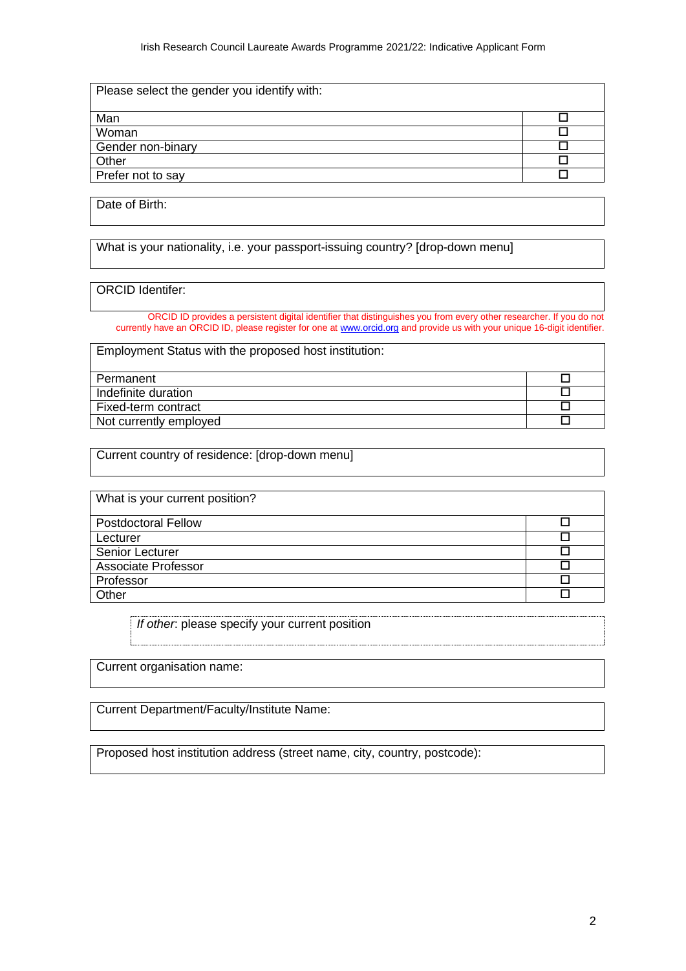| Please select the gender you identity |  |
|---------------------------------------|--|
|                                       |  |
|                                       |  |
|                                       |  |
|                                       |  |
|                                       |  |
|                                       |  |

Date of Birth:

What is your nationality, i.e. your passport-issuing country? [drop-down menu]

#### ORCID Identifer:

ORCID ID provides a persistent digital identifier that distinguishes you from every other researcher. If you do not currently have an ORCID ID, please register for one a[t www.orcid.org](http://www.orcid.org/) and provide us with your unique 16-digit identifier.

Employment Status with the proposed host institution:

| Indefinite duration    |  |
|------------------------|--|
| Fixed-term contract    |  |
| Not currently employed |  |

Current country of residence: [drop-down menu]

| hat is your current position? |  |
|-------------------------------|--|
|                               |  |
|                               |  |
|                               |  |
|                               |  |
|                               |  |
|                               |  |

*If other*: please specify your current position

Current organisation name:

Current Department/Faculty/Institute Name:

Proposed host institution address (street name, city, country, postcode):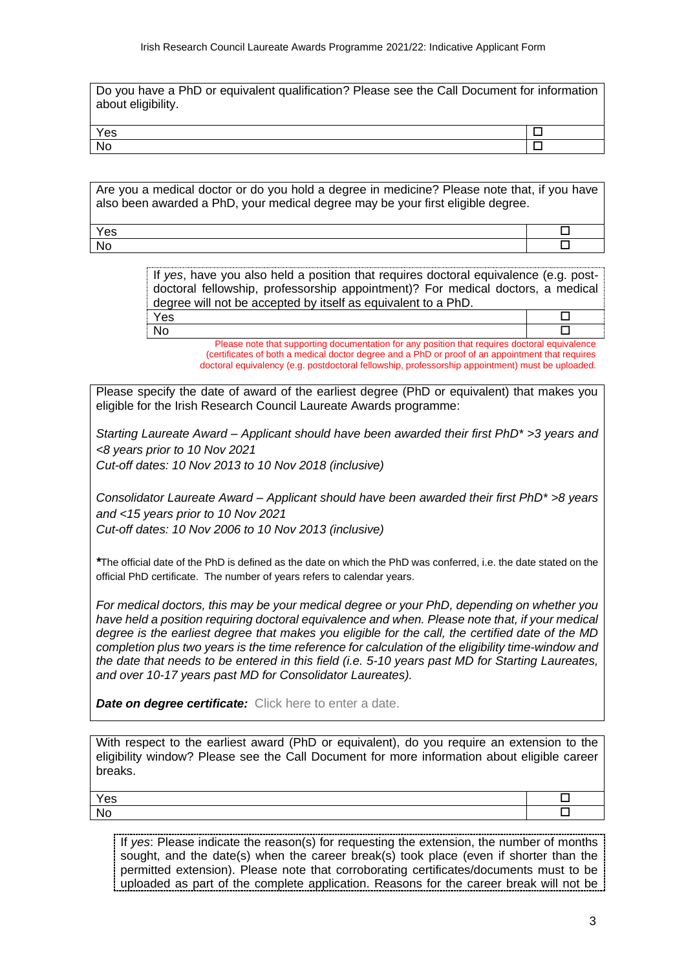Do you have a PhD or equivalent qualification? Please see the Call Document for information about eligibility.

| --------------- | -------- |
|-----------------|----------|
| ౚ               | -------  |
|                 |          |

Are you a medical doctor or do you hold a degree in medicine? Please note that, if you have also been awarded a PhD, your medical degree may be your first eligible degree.

 $Y$ es  $\Box$ No the contract of  $\Box$ 

> If *yes*, have you also held a position that requires doctoral equivalence (e.g. postdoctoral fellowship, professorship appointment)? For medical doctors, a medical degree will not be accepted by itself as equivalent to a PhD.  $Y$ es  $\Box$

No the contract of  $\Box$ Please note that supporting documentation for any position that requires doctoral equivalence (certificates of both a medical doctor degree and a PhD or proof of an appointment that requires doctoral equivalency (e.g. postdoctoral fellowship, professorship appointment) must be uploaded.

Please specify the date of award of the earliest degree (PhD or equivalent) that makes you eligible for the Irish Research Council Laureate Awards programme:

*Starting Laureate Award – Applicant should have been awarded their first PhD\* >3 years and <8 years prior to 10 Nov 2021 Cut-off dates: 10 Nov 2013 to 10 Nov 2018 (inclusive)*

*Consolidator Laureate Award – Applicant should have been awarded their first PhD\* >8 years and <15 years prior to 10 Nov 2021 Cut-off dates: 10 Nov 2006 to 10 Nov 2013 (inclusive)*

*\**The official date of the PhD is defined as the date on which the PhD was conferred, i.e. the date stated on the official PhD certificate. The number of years refers to calendar years.

*For medical doctors, this may be your medical degree or your PhD, depending on whether you have held a position requiring doctoral equivalence and when. Please note that, if your medical degree is the earliest degree that makes you eligible for the call, the certified date of the MD completion plus two years is the time reference for calculation of the eligibility time-window and the date that needs to be entered in this field (i.e. 5-10 years past MD for Starting Laureates, and over 10-17 years past MD for Consolidator Laureates).* 

*Date on degree certificate:* Click here to enter a date.

With respect to the earliest award (PhD or equivalent), do you require an extension to the eligibility window? Please see the Call Document for more information about eligible career breaks.

| $\mathcal{L}_{\mathsf{A}}$<br>53 |  |
|----------------------------------|--|
|                                  |  |

If *yes*: Please indicate the reason(s) for requesting the extension, the number of months sought, and the date(s) when the career break(s) took place (even if shorter than the permitted extension). Please note that corroborating certificates/documents must to be uploaded as part of the complete application. Reasons for the career break will not be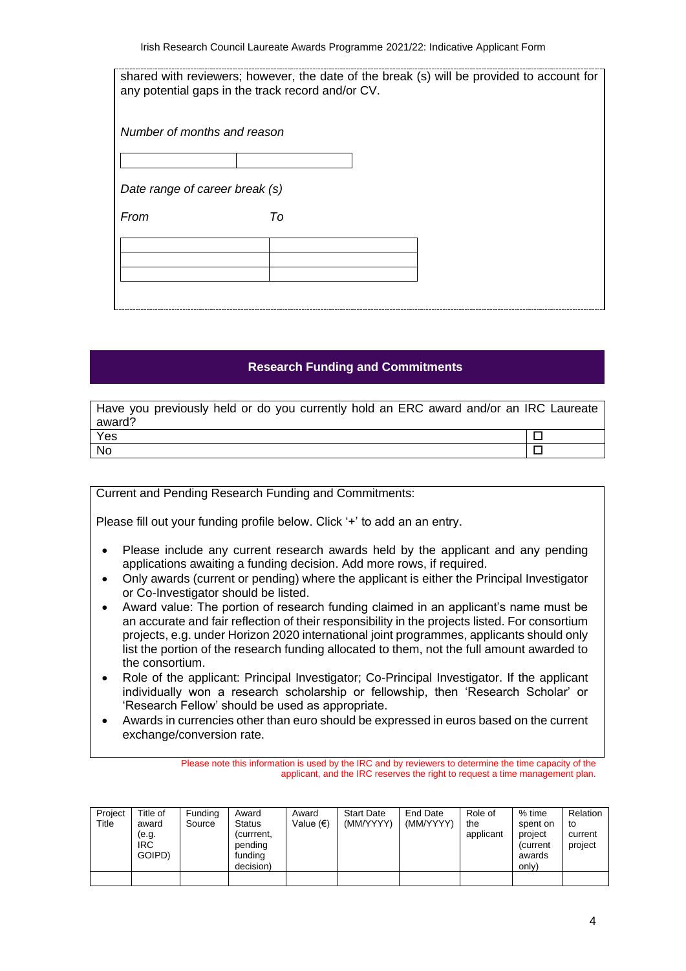|                                | shared with reviewers; however, the date of the break (s) will be provided to account for |
|--------------------------------|-------------------------------------------------------------------------------------------|
|                                | any potential gaps in the track record and/or CV.                                         |
|                                |                                                                                           |
|                                |                                                                                           |
| Number of months and reason    |                                                                                           |
|                                |                                                                                           |
|                                |                                                                                           |
|                                |                                                                                           |
| Date range of career break (s) |                                                                                           |
| From                           | To                                                                                        |
|                                |                                                                                           |
|                                |                                                                                           |
|                                |                                                                                           |
|                                |                                                                                           |
|                                |                                                                                           |
|                                |                                                                                           |
|                                |                                                                                           |

#### **Research Funding and Commitments**

| Have you previously held or do you currently hold an ERC award and/or an IRC Laureate |  |
|---------------------------------------------------------------------------------------|--|
| award?                                                                                |  |
| Yes                                                                                   |  |
| – No                                                                                  |  |

Current and Pending Research Funding and Commitments:

Please fill out your funding profile below. Click '+' to add an an entry.

- Please include any current research awards held by the applicant and any pending applications awaiting a funding decision. Add more rows, if required.
- Only awards (current or pending) where the applicant is either the Principal Investigator or Co-Investigator should be listed.
- Award value: The portion of research funding claimed in an applicant's name must be an accurate and fair reflection of their responsibility in the projects listed. For consortium projects, e.g. under Horizon 2020 international joint programmes, applicants should only list the portion of the research funding allocated to them, not the full amount awarded to the consortium.
- Role of the applicant: Principal Investigator; Co-Principal Investigator. If the applicant individually won a research scholarship or fellowship, then 'Research Scholar' or 'Research Fellow' should be used as appropriate.
- Awards in currencies other than euro should be expressed in euros based on the current exchange/conversion rate.

Please note this information is used by the IRC and by reviewers to determine the time capacity of the applicant, and the IRC reserves the right to request a time management plan.

| Project<br>Title | Title of<br>award<br>(e.g.<br><b>IRC</b><br>GOIPD) | Funding<br>Source | Award<br>Status<br>(currrent,<br>pending<br>funding<br>decision) | Award<br>Value (€) | <b>Start Date</b><br>(MM/YYYY) | End Date<br>(MM/YYYY) | Role of<br>the<br>applicant | % time<br>spent on<br>project<br>(current<br>awards<br>only) | Relation<br>to<br>current<br>project |
|------------------|----------------------------------------------------|-------------------|------------------------------------------------------------------|--------------------|--------------------------------|-----------------------|-----------------------------|--------------------------------------------------------------|--------------------------------------|
|                  |                                                    |                   |                                                                  |                    |                                |                       |                             |                                                              |                                      |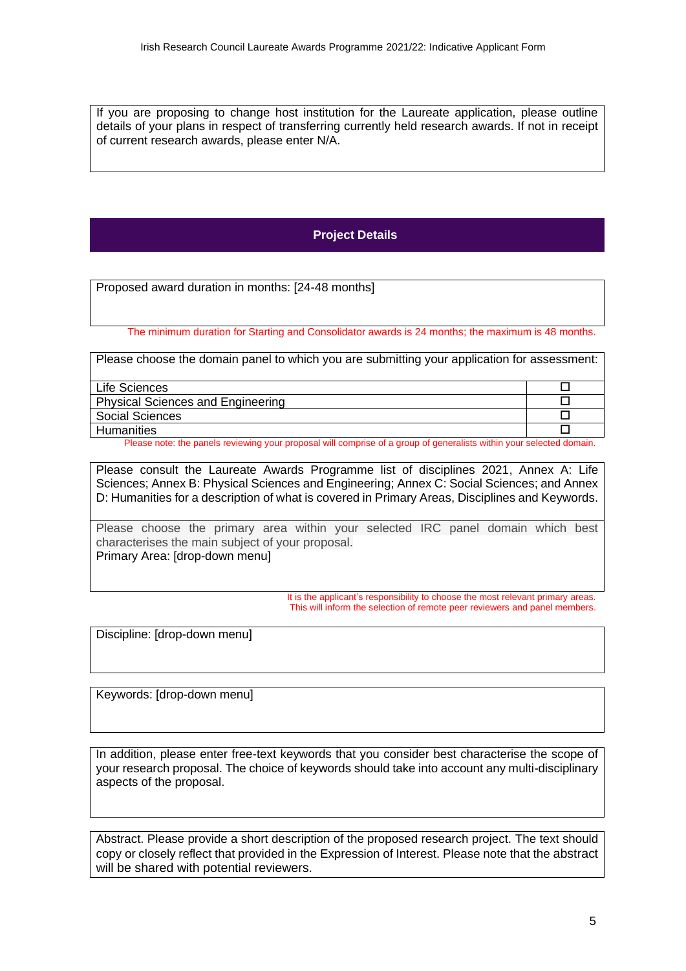If you are proposing to change host institution for the Laureate application, please outline details of your plans in respect of transferring currently held research awards. If not in receipt of current research awards, please enter N/A.

# **Project Details**

Proposed award duration in months: [24-48 months]

The minimum duration for Starting and Consolidator awards is 24 months; the maximum is 48 months.

| Please choose the domain panel to which you are submitting your application for assessment: |  |
|---------------------------------------------------------------------------------------------|--|
| Life Sciences                                                                               |  |
| <b>Physical Sciences and Engineering</b>                                                    |  |
| Social Sciences                                                                             |  |

Humanities Please note: the panels reviewing your proposal will comprise of a group of generalists within your selected domain.

Please consult the Laureate Awards Programme list of disciplines 2021, Annex A: Life Sciences; Annex B: Physical Sciences and Engineering; Annex C: Social Sciences; and Annex D: Humanities for a description of what is covered in Primary Areas, Disciplines and Keywords.

Please choose the primary area within your selected IRC panel domain which best characterises the main subject of your proposal. Primary Area: [drop-down menu]

> It is the applicant's responsibility to choose the most relevant primary areas. This will inform the selection of remote peer reviewers and panel members.

Discipline: [drop-down menu]

Keywords: [drop-down menu]

In addition, please enter free-text keywords that you consider best characterise the scope of your research proposal. The choice of keywords should take into account any multi-disciplinary aspects of the proposal.

Abstract. Please provide a short description of the proposed research project. The text should copy or closely reflect that provided in the Expression of Interest. Please note that the abstract will be shared with potential reviewers.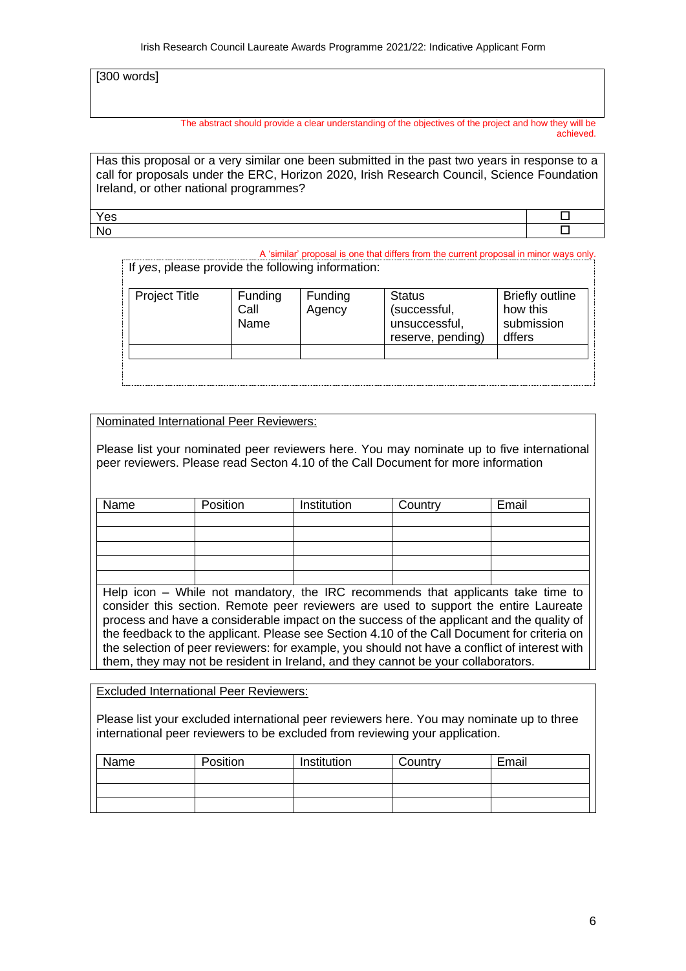[300 words]

The abstract should provide a clear understanding of the objectives of the project and how they will be achieved.

Has this proposal or a very similar one been submitted in the past two years in response to a call for proposals under the ERC, Horizon 2020, Irish Research Council, Science Foundation Ireland, or other national programmes?

 $Y$ es  $\Box$ No the contract of  $\Box$ 

A 'similar' proposal is one that differs from the current proposal in minor ways only. If *yes*, please provide the following information:

| <b>Project Title</b> | <b>Funding</b><br>Call<br>Name | <b>Funding</b><br>Agency | <b>Status</b><br>(successful,<br>unsuccessful,<br>reserve, pending) | <b>Briefly outline</b><br>how this<br>submission<br>dffers |
|----------------------|--------------------------------|--------------------------|---------------------------------------------------------------------|------------------------------------------------------------|
|                      |                                |                          |                                                                     |                                                            |

Nominated International Peer Reviewers:

Please list your nominated peer reviewers here. You may nominate up to five international peer reviewers. Please read Secton 4.10 of the Call Document for more information

| Name | Position | Institution | Country | Email |
|------|----------|-------------|---------|-------|
|      |          |             |         |       |
|      |          |             |         |       |
|      |          |             |         |       |
|      |          |             |         |       |
|      |          |             |         |       |

Help icon – While not mandatory, the IRC recommends that applicants take time to consider this section. Remote peer reviewers are used to support the entire Laureate process and have a considerable impact on the success of the applicant and the quality of the feedback to the applicant. Please see Section 4.10 of the Call Document for criteria on the selection of peer reviewers: for example, you should not have a conflict of interest with them, they may not be resident in Ireland, and they cannot be your collaborators.

Excluded International Peer Reviewers:

Please list your excluded international peer reviewers here. You may nominate up to three international peer reviewers to be excluded from reviewing your application.

| Name | Position | Institution | Country | Email |
|------|----------|-------------|---------|-------|
|      |          |             |         |       |
|      |          |             |         |       |
|      |          |             |         |       |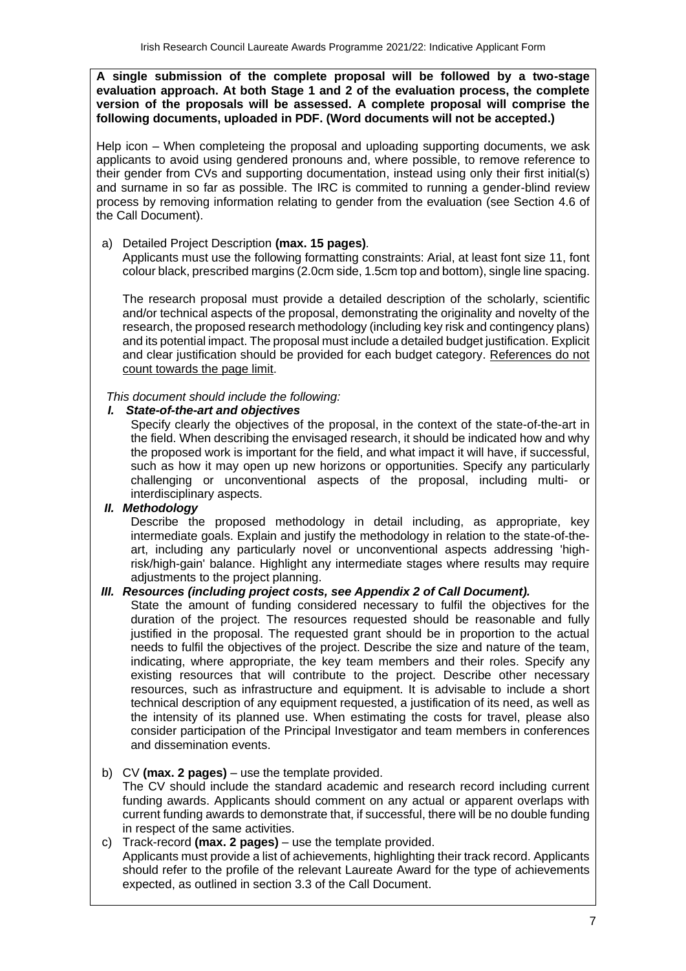**A single submission of the complete proposal will be followed by a two-stage evaluation approach. At both Stage 1 and 2 of the evaluation process, the complete version of the proposals will be assessed. A complete proposal will comprise the following documents, uploaded in PDF. (Word documents will not be accepted.)**

Help icon – When completeing the proposal and uploading supporting documents, we ask applicants to avoid using gendered pronouns and, where possible, to remove reference to their gender from CVs and supporting documentation, instead using only their first initial(s) and surname in so far as possible. The IRC is commited to running a gender-blind review process by removing information relating to gender from the evaluation (see Section 4.6 of the Call Document).

#### a) Detailed Project Description **(max. 15 pages)***.*

Applicants must use the following formatting constraints: Arial, at least font size 11, font colour black, prescribed margins (2.0cm side, 1.5cm top and bottom), single line spacing.

The research proposal must provide a detailed description of the scholarly, scientific and/or technical aspects of the proposal, demonstrating the originality and novelty of the research, the proposed research methodology (including key risk and contingency plans) and its potential impact. The proposal must include a detailed budget justification. Explicit and clear justification should be provided for each budget category. References do not count towards the page limit.

*This document should include the following:*

#### *I. State-of-the-art and objectives*

Specify clearly the objectives of the proposal, in the context of the state-of-the-art in the field. When describing the envisaged research, it should be indicated how and why the proposed work is important for the field, and what impact it will have, if successful, such as how it may open up new horizons or opportunities. Specify any particularly challenging or unconventional aspects of the proposal, including multi- or interdisciplinary aspects.

### *II. Methodology*

Describe the proposed methodology in detail including, as appropriate, key intermediate goals. Explain and justify the methodology in relation to the state-of-theart, including any particularly novel or unconventional aspects addressing 'highrisk/high-gain' balance. Highlight any intermediate stages where results may require adjustments to the project planning.

### *III. Resources (including project costs, see Appendix 2 of Call Document).*

State the amount of funding considered necessary to fulfil the objectives for the duration of the project. The resources requested should be reasonable and fully justified in the proposal. The requested grant should be in proportion to the actual needs to fulfil the objectives of the project. Describe the size and nature of the team, indicating, where appropriate, the key team members and their roles. Specify any existing resources that will contribute to the project. Describe other necessary resources, such as infrastructure and equipment. It is advisable to include a short technical description of any equipment requested, a justification of its need, as well as the intensity of its planned use. When estimating the costs for travel, please also consider participation of the Principal Investigator and team members in conferences and dissemination events.

### b) CV **(max. 2 pages)** – use the template provided.

The CV should include the standard academic and research record including current funding awards. Applicants should comment on any actual or apparent overlaps with current funding awards to demonstrate that, if successful, there will be no double funding in respect of the same activities.

c) Track-record **(max. 2 pages)** – use the template provided. Applicants must provide a list of achievements, highlighting their track record. Applicants should refer to the profile of the relevant Laureate Award for the type of achievements expected, as outlined in section 3.3 of the Call Document.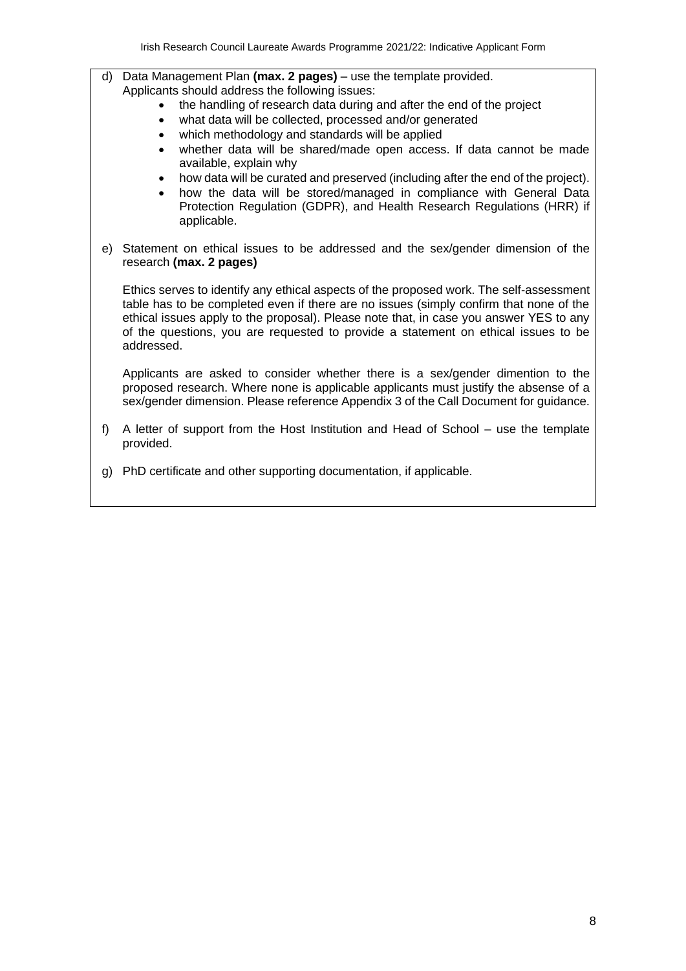- d) Data Management Plan **(max. 2 pages)** use the template provided. Applicants should address the following issues:
	- the handling of research data during and after the end of the project
	- what data will be collected, processed and/or generated
	- which methodology and standards will be applied
	- whether data will be shared/made open access. If data cannot be made available, explain why
	- how data will be curated and preserved (including after the end of the project).
	- how the data will be stored/managed in compliance with General Data Protection Regulation (GDPR), and Health Research Regulations (HRR) if applicable.
- e) Statement on ethical issues to be addressed and the sex/gender dimension of the research **(max. 2 pages)**

Ethics serves to identify any ethical aspects of the proposed work. The self-assessment table has to be completed even if there are no issues (simply confirm that none of the ethical issues apply to the proposal). Please note that, in case you answer YES to any of the questions, you are requested to provide a statement on ethical issues to be addressed.

Applicants are asked to consider whether there is a sex/gender dimention to the proposed research. Where none is applicable applicants must justify the absense of a sex/gender dimension. Please reference Appendix 3 of the Call Document for guidance.

- f) A letter of support from the Host Institution and Head of School use the template provided.
- g) PhD certificate and other supporting documentation, if applicable.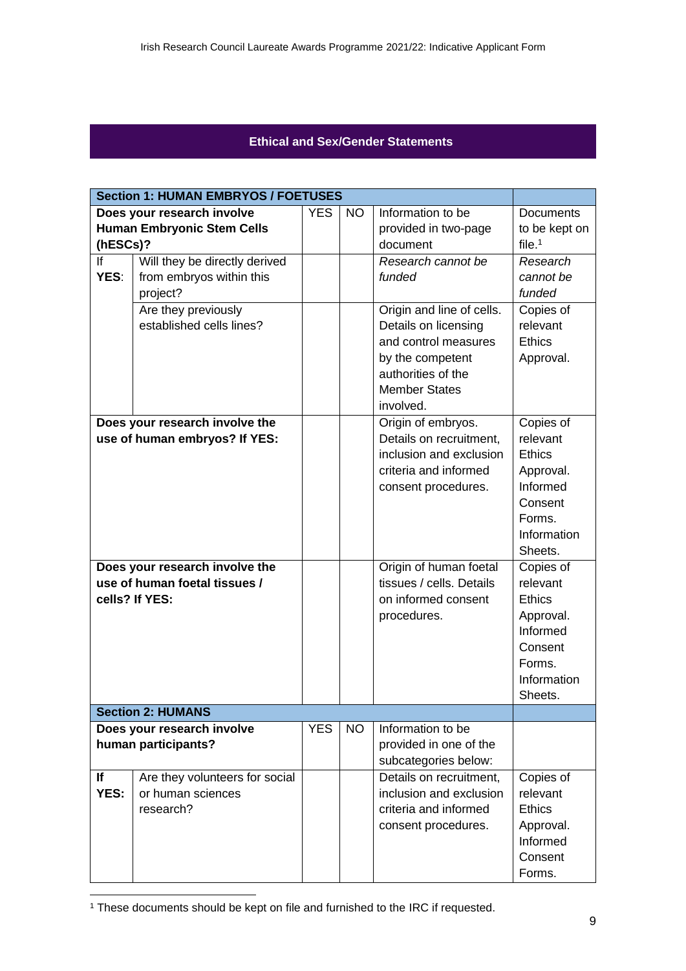# **Ethical and Sex/Gender Statements**

|                            | <b>Section 1: HUMAN EMBRYOS / FOETUSES</b> |            |           |                           |                  |  |  |  |
|----------------------------|--------------------------------------------|------------|-----------|---------------------------|------------------|--|--|--|
|                            | Does your research involve                 | <b>YES</b> | <b>NO</b> | Information to be         | <b>Documents</b> |  |  |  |
|                            | <b>Human Embryonic Stem Cells</b>          |            |           | provided in two-page      | to be kept on    |  |  |  |
| (hESCs)?                   |                                            |            |           | document                  | file. $1$        |  |  |  |
| If                         | Will they be directly derived              |            |           | Research cannot be        | Research         |  |  |  |
| YES:                       | from embryos within this                   |            |           | funded                    | cannot be        |  |  |  |
|                            | project?                                   |            |           |                           | funded           |  |  |  |
|                            | Are they previously                        |            |           | Origin and line of cells. | Copies of        |  |  |  |
|                            | established cells lines?                   |            |           | Details on licensing      | relevant         |  |  |  |
|                            |                                            |            |           | and control measures      | <b>Ethics</b>    |  |  |  |
|                            |                                            |            |           | by the competent          | Approval.        |  |  |  |
|                            |                                            |            |           | authorities of the        |                  |  |  |  |
|                            |                                            |            |           | <b>Member States</b>      |                  |  |  |  |
|                            |                                            |            |           | involved.                 |                  |  |  |  |
|                            | Does your research involve the             |            |           | Origin of embryos.        | Copies of        |  |  |  |
|                            | use of human embryos? If YES:              |            |           | Details on recruitment,   | relevant         |  |  |  |
|                            |                                            |            |           | inclusion and exclusion   | <b>Ethics</b>    |  |  |  |
|                            |                                            |            |           | criteria and informed     | Approval.        |  |  |  |
|                            |                                            |            |           | consent procedures.       | Informed         |  |  |  |
|                            |                                            |            |           |                           | Consent          |  |  |  |
|                            |                                            |            |           |                           | Forms.           |  |  |  |
|                            |                                            |            |           |                           | Information      |  |  |  |
|                            |                                            |            |           |                           | Sheets.          |  |  |  |
|                            | Does your research involve the             |            |           | Origin of human foetal    | Copies of        |  |  |  |
|                            | use of human foetal tissues /              |            |           | tissues / cells. Details  | relevant         |  |  |  |
|                            | cells? If YES:                             |            |           | on informed consent       | <b>Ethics</b>    |  |  |  |
|                            |                                            |            |           | procedures.               | Approval.        |  |  |  |
|                            |                                            |            |           |                           | Informed         |  |  |  |
|                            |                                            |            |           |                           | Consent          |  |  |  |
|                            |                                            |            |           |                           | Forms.           |  |  |  |
|                            |                                            |            |           |                           | Information      |  |  |  |
|                            |                                            |            |           |                           | Sheets.          |  |  |  |
| <b>Section 2: HUMANS</b>   |                                            |            |           |                           |                  |  |  |  |
| Does your research involve |                                            | <b>YES</b> | <b>NO</b> | Information to be         |                  |  |  |  |
|                            | human participants?                        |            |           | provided in one of the    |                  |  |  |  |
|                            |                                            |            |           | subcategories below:      |                  |  |  |  |
| lf                         | Are they volunteers for social             |            |           | Details on recruitment,   | Copies of        |  |  |  |
| YES:                       | or human sciences                          |            |           | inclusion and exclusion   | relevant         |  |  |  |
|                            | research?                                  |            |           | criteria and informed     | <b>Ethics</b>    |  |  |  |
|                            |                                            |            |           | consent procedures.       | Approval.        |  |  |  |
|                            |                                            |            |           |                           | Informed         |  |  |  |
|                            |                                            |            |           |                           | Consent          |  |  |  |
|                            |                                            |            |           |                           | Forms.           |  |  |  |

<sup>&</sup>lt;sup>1</sup> These documents should be kept on file and furnished to the IRC if requested.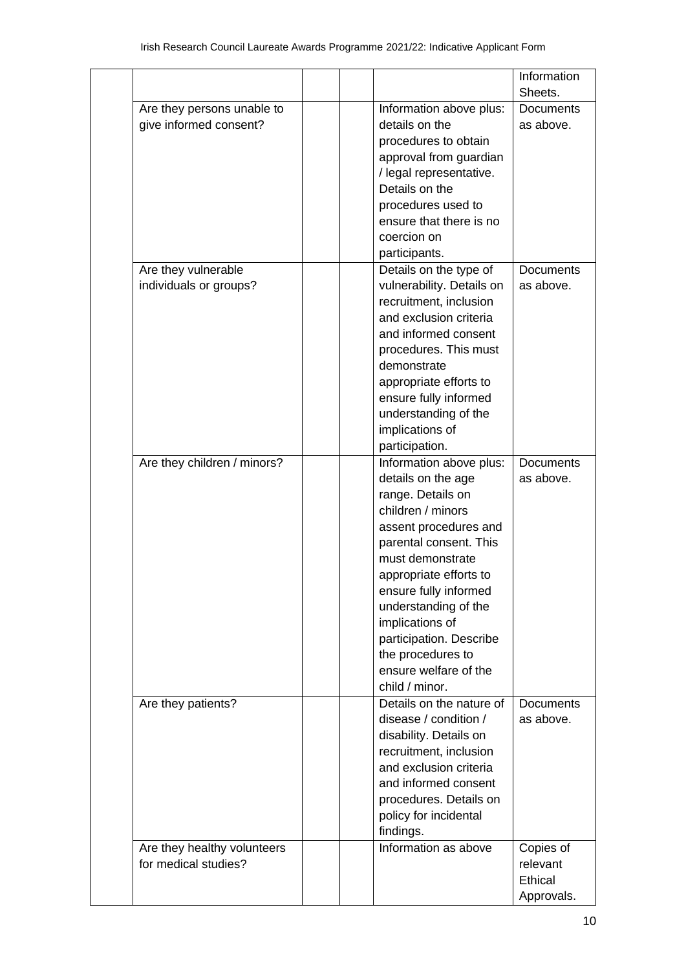|                                                      |                                                                                                                                                                                                                                                                                                                                                         | Information                                    |
|------------------------------------------------------|---------------------------------------------------------------------------------------------------------------------------------------------------------------------------------------------------------------------------------------------------------------------------------------------------------------------------------------------------------|------------------------------------------------|
|                                                      |                                                                                                                                                                                                                                                                                                                                                         | Sheets.                                        |
| Are they persons unable to<br>give informed consent? | Information above plus:<br>details on the<br>procedures to obtain<br>approval from guardian<br>/ legal representative.<br>Details on the<br>procedures used to<br>ensure that there is no<br>coercion on<br>participants.                                                                                                                               | <b>Documents</b><br>as above.                  |
| Are they vulnerable<br>individuals or groups?        | Details on the type of<br>vulnerability. Details on<br>recruitment, inclusion<br>and exclusion criteria<br>and informed consent<br>procedures. This must<br>demonstrate<br>appropriate efforts to<br>ensure fully informed<br>understanding of the<br>implications of<br>participation.                                                                 | <b>Documents</b><br>as above.                  |
| Are they children / minors?                          | Information above plus:<br>details on the age<br>range. Details on<br>children / minors<br>assent procedures and<br>parental consent. This<br>must demonstrate<br>appropriate efforts to<br>ensure fully informed<br>understanding of the<br>implications of<br>participation. Describe<br>the procedures to<br>ensure welfare of the<br>child / minor. | <b>Documents</b><br>as above.                  |
| Are they patients?                                   | Details on the nature of<br>disease / condition /<br>disability. Details on<br>recruitment, inclusion<br>and exclusion criteria<br>and informed consent<br>procedures. Details on<br>policy for incidental<br>findings.                                                                                                                                 | <b>Documents</b><br>as above.                  |
| Are they healthy volunteers<br>for medical studies?  | Information as above                                                                                                                                                                                                                                                                                                                                    | Copies of<br>relevant<br>Ethical<br>Approvals. |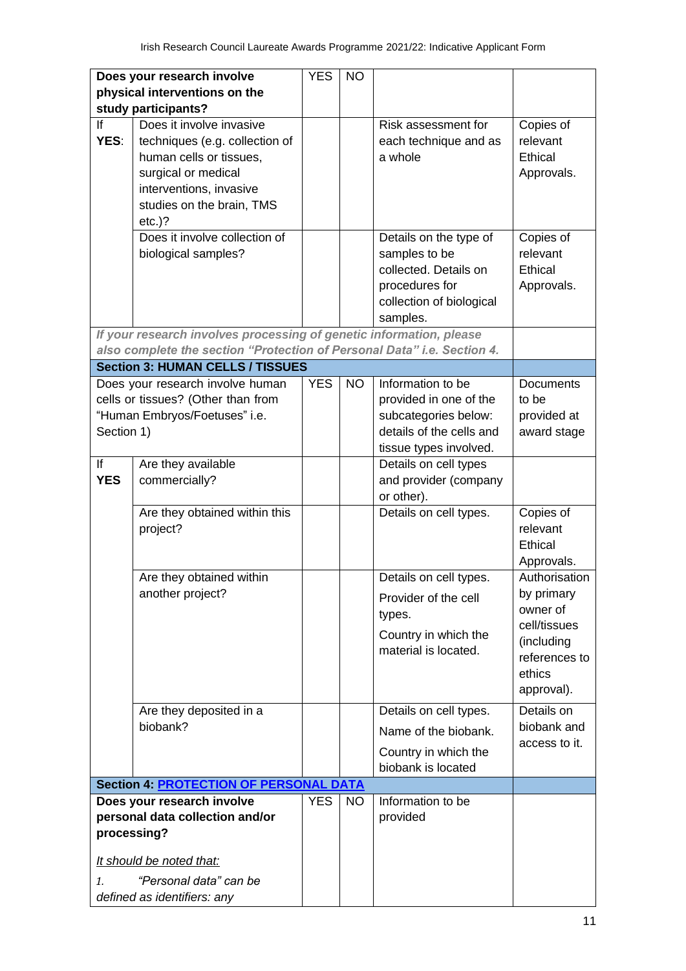| Does your research involve                    |                                                                                                                                                       | <b>YES</b> | <b>NO</b> |                                                                                                                            |                                                                                                                |
|-----------------------------------------------|-------------------------------------------------------------------------------------------------------------------------------------------------------|------------|-----------|----------------------------------------------------------------------------------------------------------------------------|----------------------------------------------------------------------------------------------------------------|
|                                               | physical interventions on the<br>study participants?                                                                                                  |            |           |                                                                                                                            |                                                                                                                |
|                                               | Does it involve invasive                                                                                                                              |            |           | Risk assessment for                                                                                                        |                                                                                                                |
| If<br>YES:                                    | techniques (e.g. collection of<br>human cells or tissues,<br>surgical or medical<br>interventions, invasive<br>studies on the brain, TMS<br>$etc.$ )? |            |           | each technique and as<br>a whole                                                                                           | Copies of<br>relevant<br>Ethical<br>Approvals.                                                                 |
|                                               | Does it involve collection of<br>biological samples?                                                                                                  |            |           | Details on the type of<br>samples to be<br>collected. Details on<br>procedures for<br>collection of biological<br>samples. | Copies of<br>relevant<br>Ethical<br>Approvals.                                                                 |
|                                               | If your research involves processing of genetic information, please<br>also complete the section "Protection of Personal Data" i.e. Section 4.        |            |           |                                                                                                                            |                                                                                                                |
|                                               | <b>Section 3: HUMAN CELLS / TISSUES</b>                                                                                                               |            |           |                                                                                                                            |                                                                                                                |
| Section 1)                                    | Does your research involve human<br>cells or tissues? (Other than from<br>"Human Embryos/Foetuses" i.e.                                               | <b>YES</b> | <b>NO</b> | Information to be<br>provided in one of the<br>subcategories below:<br>details of the cells and<br>tissue types involved.  | <b>Documents</b><br>to be<br>provided at<br>award stage                                                        |
| lf<br><b>YES</b>                              | Are they available<br>commercially?                                                                                                                   |            |           | Details on cell types<br>and provider (company<br>or other).                                                               |                                                                                                                |
|                                               | Are they obtained within this<br>project?                                                                                                             |            |           | Details on cell types.                                                                                                     | Copies of<br>relevant<br>Ethical<br>Approvals.                                                                 |
|                                               | Are they obtained within<br>another project?                                                                                                          |            |           | Details on cell types<br>Provider of the cell<br>types.<br>Country in which the<br>material is located.                    | Authorisation<br>by primary<br>owner of<br>cell/tissues<br>(including<br>references to<br>ethics<br>approval). |
|                                               | Are they deposited in a<br>biobank?                                                                                                                   |            |           | Details on cell types.<br>Name of the biobank.<br>Country in which the<br>biobank is located                               | Details on<br>biobank and<br>access to it.                                                                     |
| <b>Section 4: PROTECTION OF PERSONAL DATA</b> |                                                                                                                                                       |            |           |                                                                                                                            |                                                                                                                |
|                                               | Does your research involve<br>personal data collection and/or<br>processing?<br>It should be noted that:                                              | <b>YES</b> | <b>NO</b> | Information to be<br>provided                                                                                              |                                                                                                                |
| $\mathcal{I}$ .                               | "Personal data" can be<br>defined as identifiers: any                                                                                                 |            |           |                                                                                                                            |                                                                                                                |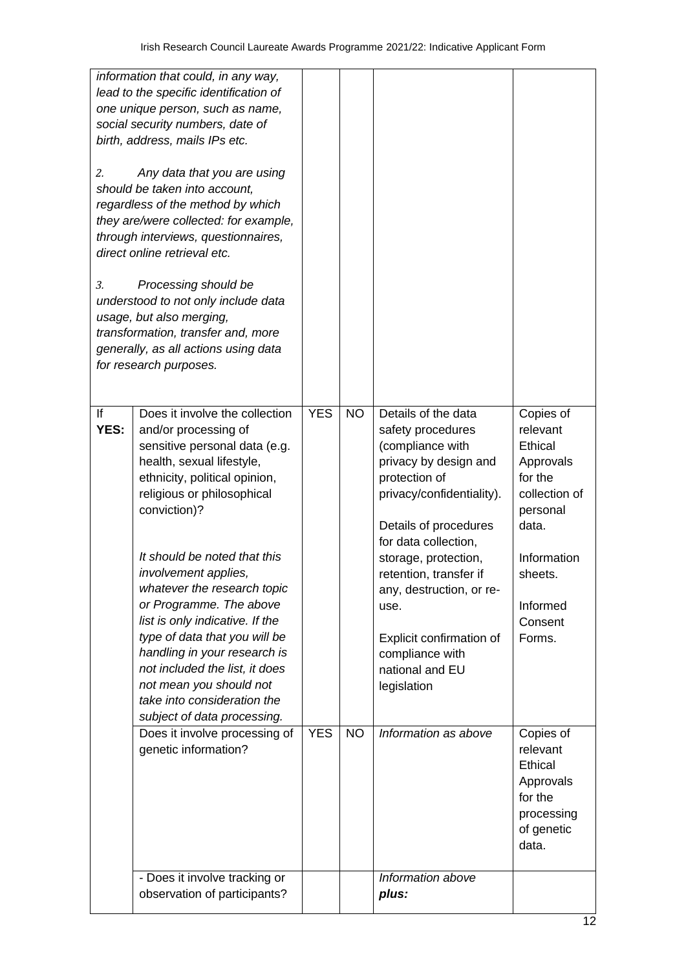| 2.<br>3.   | information that could, in any way,<br>lead to the specific identification of<br>one unique person, such as name,<br>social security numbers, date of<br>birth, address, mails IPs etc.<br>Any data that you are using<br>should be taken into account.<br>regardless of the method by which<br>they are/were collected: for example,<br>through interviews, questionnaires,<br>direct online retrieval etc.<br>Processing should be<br>understood to not only include data<br>usage, but also merging,<br>transformation, transfer and, more<br>generally, as all actions using data<br>for research purposes. |            |           |                                                                                                                                                                                                                                                                                                                                                             |                                                                                                                                                           |
|------------|-----------------------------------------------------------------------------------------------------------------------------------------------------------------------------------------------------------------------------------------------------------------------------------------------------------------------------------------------------------------------------------------------------------------------------------------------------------------------------------------------------------------------------------------------------------------------------------------------------------------|------------|-----------|-------------------------------------------------------------------------------------------------------------------------------------------------------------------------------------------------------------------------------------------------------------------------------------------------------------------------------------------------------------|-----------------------------------------------------------------------------------------------------------------------------------------------------------|
| If<br>YES: | Does it involve the collection<br>and/or processing of<br>sensitive personal data (e.g.<br>health, sexual lifestyle,<br>ethnicity, political opinion,<br>religious or philosophical<br>conviction)?<br>It should be noted that this<br>involvement applies,<br>whatever the research topic<br>or Programme. The above<br>list is only indicative. If the<br>type of data that you will be<br>handling in your research is<br>not included the list, it does<br>not mean you should not<br>take into consideration the<br>subject of data processing.                                                            | <b>YES</b> | <b>NO</b> | Details of the data<br>safety procedures<br>(compliance with<br>privacy by design and<br>protection of<br>privacy/confidentiality).<br>Details of procedures<br>for data collection,<br>storage, protection,<br>retention, transfer if<br>any, destruction, or re-<br>use.<br>Explicit confirmation of<br>compliance with<br>national and EU<br>legislation | Copies of<br>relevant<br>Ethical<br>Approvals<br>for the<br>collection of<br>personal<br>data.<br>Information<br>sheets.<br>Informed<br>Consent<br>Forms. |
|            | Does it involve processing of<br>genetic information?                                                                                                                                                                                                                                                                                                                                                                                                                                                                                                                                                           | <b>YES</b> | <b>NO</b> | Information as above                                                                                                                                                                                                                                                                                                                                        | Copies of<br>relevant<br>Ethical<br>Approvals<br>for the<br>processing<br>of genetic<br>data.                                                             |
|            | - Does it involve tracking or<br>observation of participants?                                                                                                                                                                                                                                                                                                                                                                                                                                                                                                                                                   |            |           | Information above<br>plus:                                                                                                                                                                                                                                                                                                                                  |                                                                                                                                                           |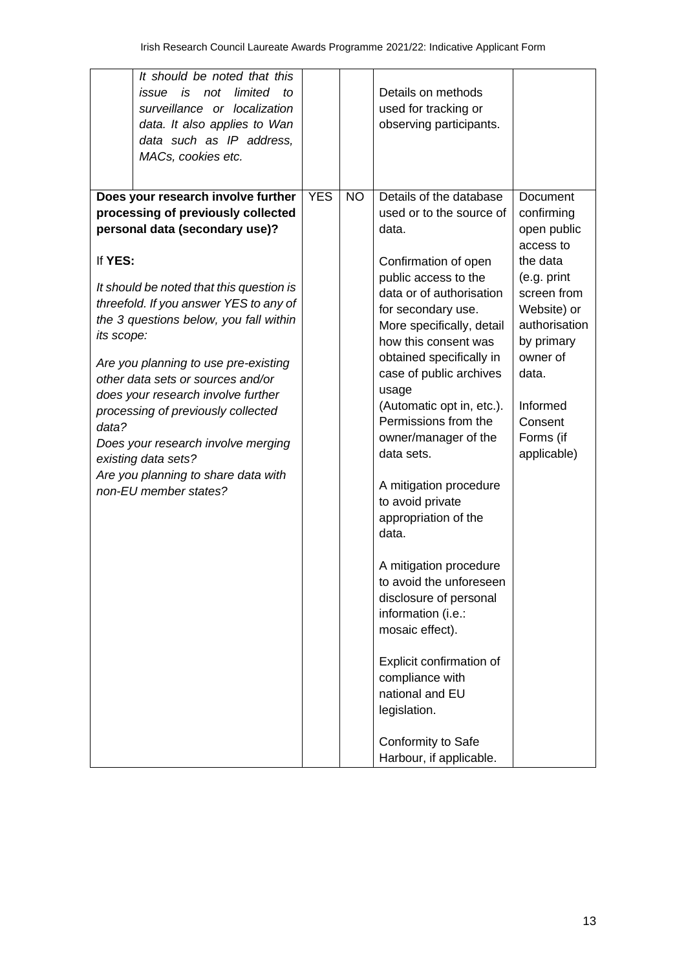| It should be noted that this<br>Details on methods<br>not<br>limited<br><i>issue</i> is<br>to<br>used for tracking or<br>surveillance or localization<br>data. It also applies to Wan<br>observing participants.<br>data such as IP address,<br>MACs, cookies etc.<br><b>YES</b><br><b>NO</b><br>Details of the database<br>Does your research involve further<br>Document<br>processing of previously collected<br>used or to the source of<br>confirming<br>personal data (secondary use)?<br>data.<br>open public<br>access to<br>If YES:<br>the data<br>Confirmation of open<br>public access to the<br>(e.g. print<br>It should be noted that this question is<br>data or of authorisation<br>screen from<br>threefold. If you answer YES to any of<br>Website) or<br>for secondary use.<br>the 3 questions below, you fall within<br>authorisation<br>More specifically, detail<br>its scope:<br>how this consent was<br>by primary<br>owner of<br>obtained specifically in<br>Are you planning to use pre-existing<br>data.<br>case of public archives<br>other data sets or sources and/or<br>usage<br>does your research involve further<br>(Automatic opt in, etc.).<br>Informed<br>processing of previously collected<br>Permissions from the<br>Consent<br>data?<br>owner/manager of the<br>Forms (if<br>Does your research involve merging<br>data sets.<br>applicable)<br>existing data sets?<br>Are you planning to share data with<br>A mitigation procedure<br>non-EU member states?<br>to avoid private<br>appropriation of the<br>data.<br>A mitigation procedure<br>to avoid the unforeseen<br>disclosure of personal<br>information (i.e.:<br>mosaic effect).<br>Explicit confirmation of<br>compliance with<br>national and EU<br>legislation. |  |                    |  |
|----------------------------------------------------------------------------------------------------------------------------------------------------------------------------------------------------------------------------------------------------------------------------------------------------------------------------------------------------------------------------------------------------------------------------------------------------------------------------------------------------------------------------------------------------------------------------------------------------------------------------------------------------------------------------------------------------------------------------------------------------------------------------------------------------------------------------------------------------------------------------------------------------------------------------------------------------------------------------------------------------------------------------------------------------------------------------------------------------------------------------------------------------------------------------------------------------------------------------------------------------------------------------------------------------------------------------------------------------------------------------------------------------------------------------------------------------------------------------------------------------------------------------------------------------------------------------------------------------------------------------------------------------------------------------------------------------------------------------------------------------------------------|--|--------------------|--|
|                                                                                                                                                                                                                                                                                                                                                                                                                                                                                                                                                                                                                                                                                                                                                                                                                                                                                                                                                                                                                                                                                                                                                                                                                                                                                                                                                                                                                                                                                                                                                                                                                                                                                                                                                                      |  |                    |  |
| Harbour, if applicable.                                                                                                                                                                                                                                                                                                                                                                                                                                                                                                                                                                                                                                                                                                                                                                                                                                                                                                                                                                                                                                                                                                                                                                                                                                                                                                                                                                                                                                                                                                                                                                                                                                                                                                                                              |  | Conformity to Safe |  |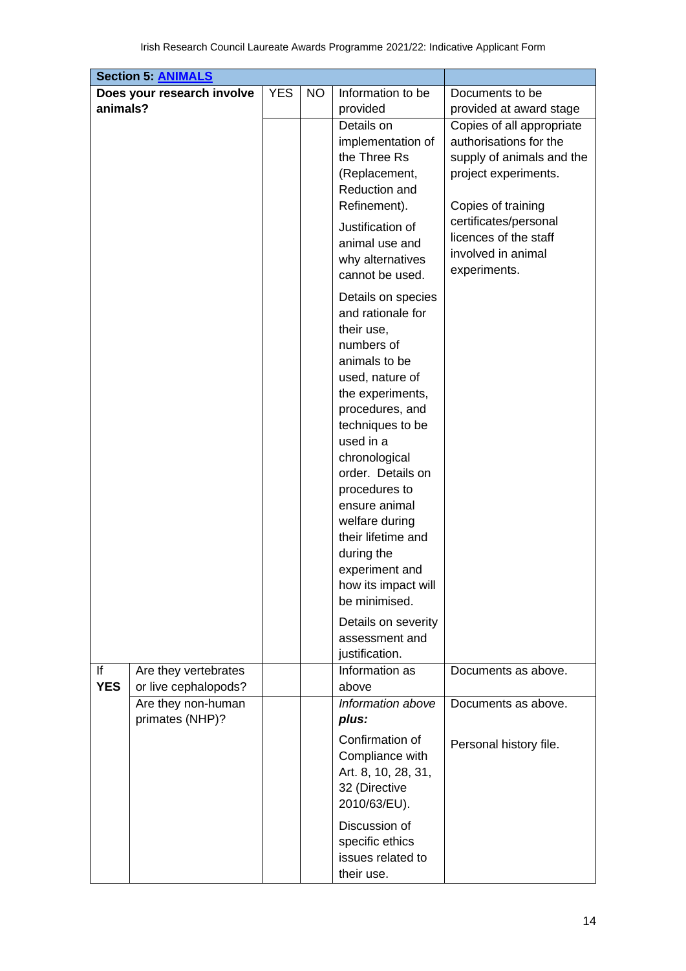|            | <b>Section 5: ANIMALS</b>             |            |    |                     |                           |
|------------|---------------------------------------|------------|----|---------------------|---------------------------|
|            | Does your research involve            | <b>YES</b> | NO | Information to be   | Documents to be           |
| animals?   |                                       |            |    | provided            | provided at award stage   |
|            |                                       |            |    | Details on          | Copies of all appropriate |
|            |                                       |            |    | implementation of   | authorisations for the    |
|            |                                       |            |    | the Three Rs        | supply of animals and the |
|            |                                       |            |    | (Replacement,       | project experiments.      |
|            |                                       |            |    | Reduction and       |                           |
|            |                                       |            |    | Refinement).        | Copies of training        |
|            |                                       |            |    | Justification of    | certificates/personal     |
|            |                                       |            |    | animal use and      | licences of the staff     |
|            |                                       |            |    | why alternatives    | involved in animal        |
|            |                                       |            |    | cannot be used.     | experiments.              |
|            |                                       |            |    | Details on species  |                           |
|            |                                       |            |    | and rationale for   |                           |
|            |                                       |            |    | their use,          |                           |
|            |                                       |            |    | numbers of          |                           |
|            |                                       |            |    | animals to be       |                           |
|            |                                       |            |    | used, nature of     |                           |
|            |                                       |            |    | the experiments,    |                           |
|            |                                       |            |    | procedures, and     |                           |
|            |                                       |            |    | techniques to be    |                           |
|            |                                       |            |    | used in a           |                           |
|            |                                       |            |    | chronological       |                           |
|            |                                       |            |    | order. Details on   |                           |
|            |                                       |            |    | procedures to       |                           |
|            |                                       |            |    | ensure animal       |                           |
|            |                                       |            |    | welfare during      |                           |
|            |                                       |            |    | their lifetime and  |                           |
|            |                                       |            |    | during the          |                           |
|            |                                       |            |    | experiment and      |                           |
|            |                                       |            |    | how its impact will |                           |
|            |                                       |            |    | be minimised.       |                           |
|            |                                       |            |    | Details on severity |                           |
|            |                                       |            |    | assessment and      |                           |
|            |                                       |            |    | justification.      |                           |
| lf         | Are they vertebrates                  |            |    | Information as      | Documents as above.       |
| <b>YES</b> | or live cephalopods?                  |            |    | above               |                           |
|            | Are they non-human<br>primates (NHP)? |            |    | Information above   | Documents as above.       |
|            |                                       |            |    | plus:               |                           |
|            |                                       |            |    | Confirmation of     | Personal history file.    |
|            |                                       |            |    | Compliance with     |                           |
|            |                                       |            |    | Art. 8, 10, 28, 31, |                           |
|            |                                       |            |    | 32 (Directive       |                           |
|            |                                       |            |    | 2010/63/EU).        |                           |
|            |                                       |            |    | Discussion of       |                           |
|            |                                       |            |    | specific ethics     |                           |
|            |                                       |            |    | issues related to   |                           |
|            |                                       |            |    | their use.          |                           |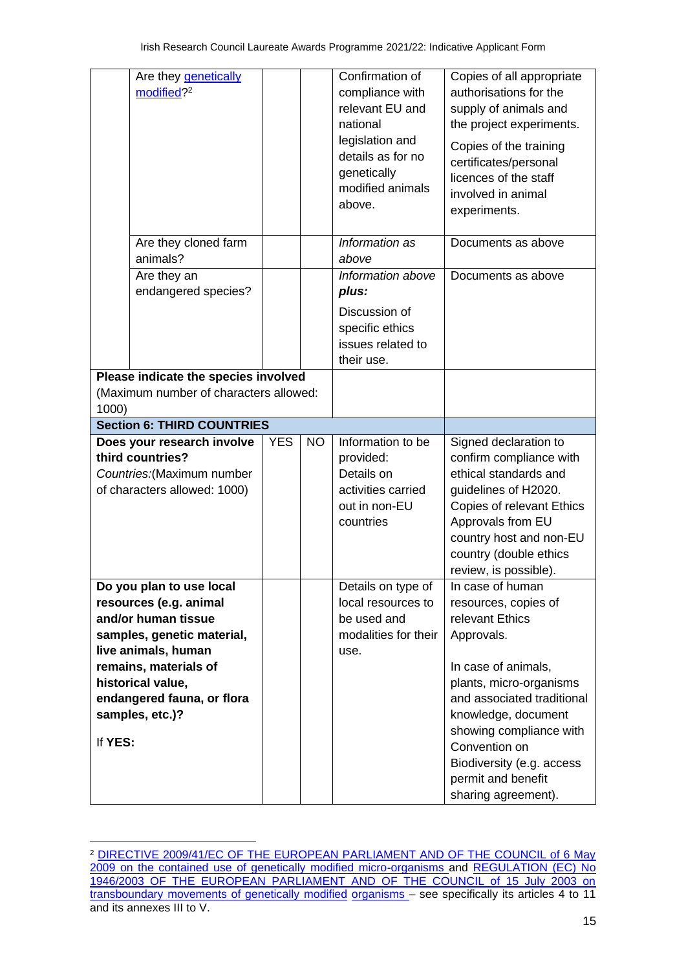| Are they <b>genetically</b><br>modified? <sup>2</sup>                                                                                                                                                                                    |            |           | Confirmation of<br>compliance with<br>relevant EU and<br>national<br>legislation and<br>details as for no<br>genetically<br>modified animals<br>above. | Copies of all appropriate<br>authorisations for the<br>supply of animals and<br>the project experiments.<br>Copies of the training<br>certificates/personal<br>licences of the staff<br>involved in animal<br>experiments.                                                                             |
|------------------------------------------------------------------------------------------------------------------------------------------------------------------------------------------------------------------------------------------|------------|-----------|--------------------------------------------------------------------------------------------------------------------------------------------------------|--------------------------------------------------------------------------------------------------------------------------------------------------------------------------------------------------------------------------------------------------------------------------------------------------------|
| Are they cloned farm<br>animals?                                                                                                                                                                                                         |            |           | Information as<br>above                                                                                                                                | Documents as above                                                                                                                                                                                                                                                                                     |
| Are they an<br>endangered species?                                                                                                                                                                                                       |            |           | Information above<br>plus:<br>Discussion of<br>specific ethics<br>issues related to<br>their use.                                                      | Documents as above                                                                                                                                                                                                                                                                                     |
| Please indicate the species involved<br>(Maximum number of characters allowed:<br>1000)                                                                                                                                                  |            |           |                                                                                                                                                        |                                                                                                                                                                                                                                                                                                        |
| <b>Section 6: THIRD COUNTRIES</b>                                                                                                                                                                                                        |            |           |                                                                                                                                                        |                                                                                                                                                                                                                                                                                                        |
| Does your research involve<br>third countries?<br>Countries: (Maximum number<br>of characters allowed: 1000)                                                                                                                             | <b>YES</b> | <b>NO</b> | Information to be<br>provided:<br>Details on<br>activities carried<br>out in non-EU<br>countries                                                       | Signed declaration to<br>confirm compliance with<br>ethical standards and<br>guidelines of H2020.<br>Copies of relevant Ethics<br>Approvals from EU<br>country host and non-EU<br>country (double ethics<br>review, is possible).                                                                      |
| Do you plan to use local<br>resources (e.g. animal<br>and/or human tissue<br>samples, genetic material,<br>live animals, human<br>remains, materials of<br>historical value,<br>endangered fauna, or flora<br>samples, etc.)?<br>If YES: |            |           | Details on type of<br>local resources to<br>be used and<br>modalities for their<br>use.                                                                | In case of human<br>resources, copies of<br>relevant Ethics<br>Approvals.<br>In case of animals,<br>plants, micro-organisms<br>and associated traditional<br>knowledge, document<br>showing compliance with<br>Convention on<br>Biodiversity (e.g. access<br>permit and benefit<br>sharing agreement). |

<sup>&</sup>lt;sup>2</sup> DIRECTIVE 2009/41/EC OF THE EUROPEAN PARLIAMENT AND OF THE COUNCIL of 6 May [2009 on the contained use of genetically modified micro-organisms a](http://eur-lex.europa.eu/LexUriServ/LexUriServ.do?uri=OJ%3AL%3A2009%3A125%3A0075%3A0097%3AEN%3APDF)nd [REGULATION \(EC\) No](http://eur-lex.europa.eu/LexUriServ/LexUriServ.do?uri=OJ%3AL%3A2003%3A287%3A0001%3A0010%3AEN%3APDF)  [1946/2003 OF THE EUROPEAN PARLIAMENT AND OF THE COUNCIL of 15 July 2003 on](http://eur-lex.europa.eu/LexUriServ/LexUriServ.do?uri=OJ%3AL%3A2003%3A287%3A0001%3A0010%3AEN%3APDF)  [transboundary movements of genetically](http://eur-lex.europa.eu/LexUriServ/LexUriServ.do?uri=OJ%3AL%3A2003%3A287%3A0001%3A0010%3AEN%3APDF) modified [organisms –](http://eur-lex.europa.eu/LexUriServ/LexUriServ.do?uri=OJ%3AL%3A2003%3A287%3A0001%3A0010%3AEN%3APDF) see specifically its articles 4 to 11 and its annexes III to V.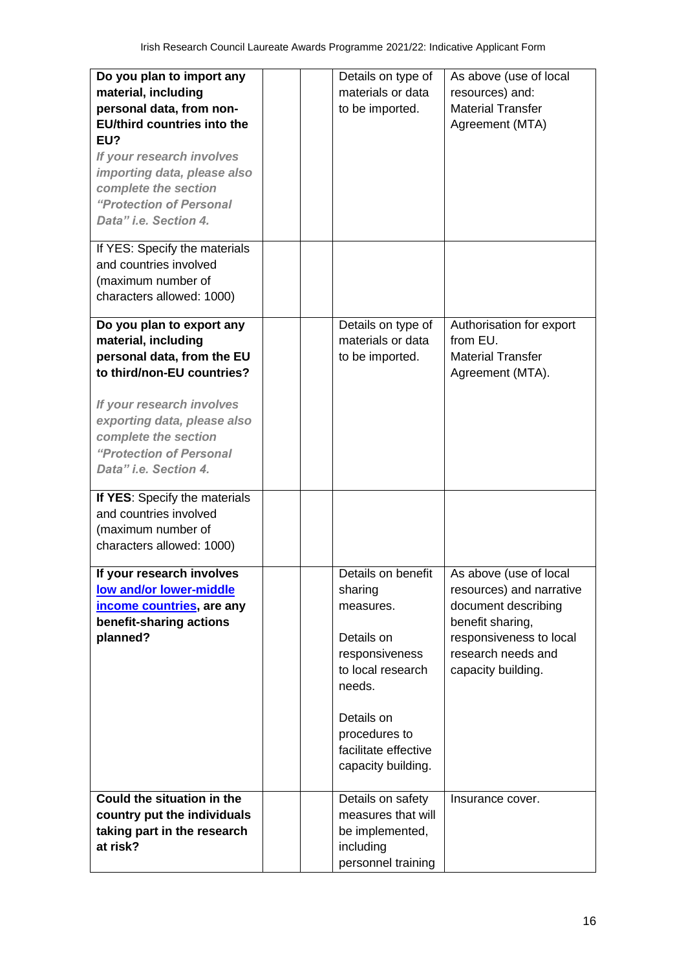| Do you plan to import any<br>material, including<br>personal data, from non-<br><b>EU/third countries into the</b><br>EU?<br>If your research involves<br>importing data, please also<br>complete the section<br>"Protection of Personal<br>Data" i.e. Section 4.<br>If YES: Specify the materials | Details on type of<br>materials or data<br>to be imported.                                                                                                                             | As above (use of local<br>resources) and:<br><b>Material Transfer</b><br>Agreement (MTA)                                                                             |
|----------------------------------------------------------------------------------------------------------------------------------------------------------------------------------------------------------------------------------------------------------------------------------------------------|----------------------------------------------------------------------------------------------------------------------------------------------------------------------------------------|----------------------------------------------------------------------------------------------------------------------------------------------------------------------|
| and countries involved<br>(maximum number of<br>characters allowed: 1000)                                                                                                                                                                                                                          |                                                                                                                                                                                        |                                                                                                                                                                      |
| Do you plan to export any<br>material, including<br>personal data, from the EU<br>to third/non-EU countries?<br>If your research involves<br>exporting data, please also<br>complete the section<br>"Protection of Personal<br>Data" i.e. Section 4.                                               | Details on type of<br>materials or data<br>to be imported.                                                                                                                             | Authorisation for export<br>from EU.<br><b>Material Transfer</b><br>Agreement (MTA).                                                                                 |
| If YES: Specify the materials<br>and countries involved<br>(maximum number of<br>characters allowed: 1000)                                                                                                                                                                                         |                                                                                                                                                                                        |                                                                                                                                                                      |
| If your research involves<br>low and/or lower-middle<br>income countries, are any<br>benefit-sharing actions<br>planned?                                                                                                                                                                           | Details on benefit<br>sharing<br>measures.<br>Details on<br>responsiveness<br>to local research<br>needs.<br>Details on<br>procedures to<br>facilitate effective<br>capacity building. | As above (use of local<br>resources) and narrative<br>document describing<br>benefit sharing,<br>responsiveness to local<br>research needs and<br>capacity building. |
| Could the situation in the<br>country put the individuals<br>taking part in the research<br>at risk?                                                                                                                                                                                               | Details on safety<br>measures that will<br>be implemented,<br>including<br>personnel training                                                                                          | Insurance cover.                                                                                                                                                     |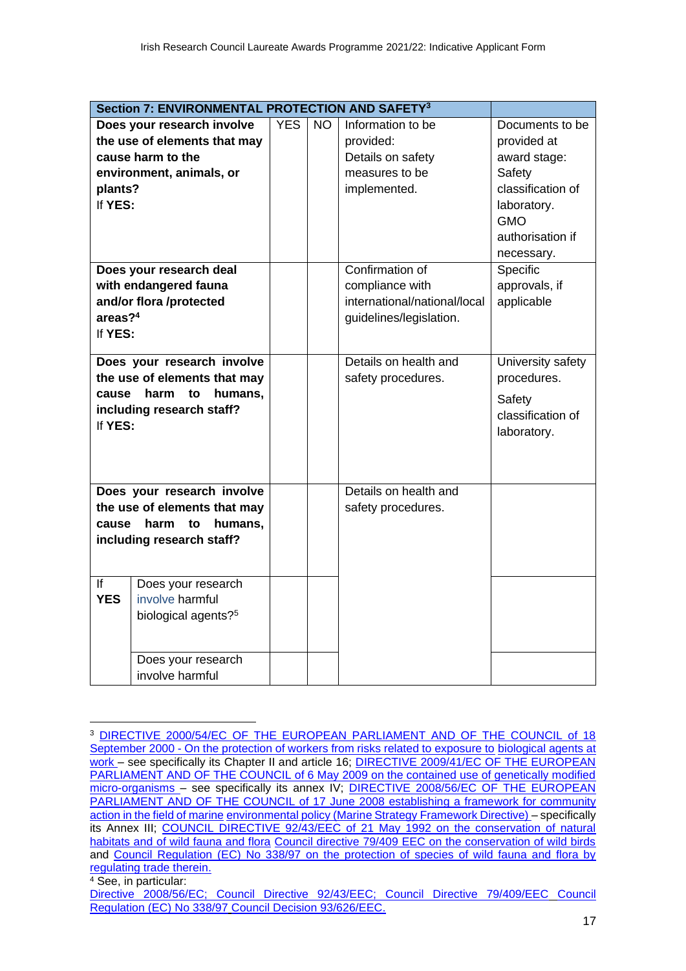|                           | Section 7: ENVIRONMENTAL PROTECTION AND SAFETY <sup>3</sup> |            |           |                              |                   |
|---------------------------|-------------------------------------------------------------|------------|-----------|------------------------------|-------------------|
|                           | Does your research involve                                  | <b>YES</b> | <b>NO</b> | Information to be            | Documents to be   |
|                           | the use of elements that may                                |            |           | provided:                    | provided at       |
|                           | cause harm to the                                           |            |           | Details on safety            | award stage:      |
|                           | environment, animals, or                                    |            |           | measures to be               | Safety            |
| plants?                   |                                                             |            |           | implemented.                 | classification of |
| If YES:                   |                                                             |            |           |                              | laboratory.       |
|                           |                                                             |            |           |                              | <b>GMO</b>        |
|                           |                                                             |            |           |                              | authorisation if  |
|                           |                                                             |            |           |                              | necessary.        |
|                           | Does your research deal                                     |            |           | Confirmation of              | Specific          |
|                           | with endangered fauna                                       |            |           | compliance with              | approvals, if     |
|                           | and/or flora /protected                                     |            |           | international/national/local | applicable        |
| areas? <sup>4</sup>       |                                                             |            |           | guidelines/legislation.      |                   |
| If YES:                   |                                                             |            |           |                              |                   |
|                           |                                                             |            |           |                              |                   |
|                           | Does your research involve                                  |            |           | Details on health and        | University safety |
|                           | the use of elements that may                                |            |           | safety procedures.           | procedures.       |
| cause                     | harm<br>to<br>humans,                                       |            |           |                              | Safety            |
|                           | including research staff?                                   |            |           |                              | classification of |
| If YES:                   |                                                             |            |           |                              | laboratory.       |
|                           |                                                             |            |           |                              |                   |
|                           |                                                             |            |           |                              |                   |
|                           |                                                             |            |           |                              |                   |
|                           | Does your research involve                                  |            |           | Details on health and        |                   |
|                           | the use of elements that may                                |            |           | safety procedures.           |                   |
| cause                     | humans,<br>harm<br>to                                       |            |           |                              |                   |
| including research staff? |                                                             |            |           |                              |                   |
|                           |                                                             |            |           |                              |                   |
| If                        | Does your research                                          |            |           |                              |                   |
| <b>YES</b>                | involve harmful                                             |            |           |                              |                   |
|                           | biological agents? <sup>5</sup>                             |            |           |                              |                   |
|                           |                                                             |            |           |                              |                   |
|                           |                                                             |            |           |                              |                   |
|                           | Does your research                                          |            |           |                              |                   |
|                           | involve harmful                                             |            |           |                              |                   |

<sup>3</sup> [DIRECTIVE 2000/54/EC OF THE EUROPEAN PARLIAMENT AND OF THE COUNCIL of 18](http://eur-lex.europa.eu/LexUriServ/LexUriServ.do?uri=OJ%3AL%3A2000%3A262%3A0021%3A0045%3AEN%3APDF)  September 2000 - [On the protection of workers from risks related to exposure to](http://eur-lex.europa.eu/LexUriServ/LexUriServ.do?uri=OJ%3AL%3A2000%3A262%3A0021%3A0045%3AEN%3APDF) [biological agents at](http://eur-lex.europa.eu/LexUriServ/LexUriServ.do?uri=OJ%3AL%3A2000%3A262%3A0021%3A0045%3AEN%3APDF)  [work –](http://eur-lex.europa.eu/LexUriServ/LexUriServ.do?uri=OJ%3AL%3A2000%3A262%3A0021%3A0045%3AEN%3APDF) see specifically its Chapter II and article 16; **DIRECTIVE 2009/41/EC OF THE EUROPEAN** [PARLIAMENT AND OF THE COUNCIL of 6 May 2009 on the contained use of genetically modified](http://eur-lex.europa.eu/LexUriServ/LexUriServ.do?uri=OJ%3AL%3A2009%3A125%3A0075%3A0097%3AEN%3APDF)  [micro-organisms –](http://eur-lex.europa.eu/LexUriServ/LexUriServ.do?uri=OJ%3AL%3A2009%3A125%3A0075%3A0097%3AEN%3APDF) see specifically its annex IV; [DIRECTIVE 2008/56/EC OF THE EUROPEAN](http://eur-lex.europa.eu/LexUriServ/LexUriServ.do?uri=OJ%3AL%3A2008%3A164%3A0019%3A0040%3AEN%3APDF)  PARLIAMENT AND OF THE COUNCIL of 17 June 2008 establishing a framework for community [action in the field of marine](http://eur-lex.europa.eu/LexUriServ/LexUriServ.do?uri=OJ%3AL%3A2008%3A164%3A0019%3A0040%3AEN%3APDF) [environmental policy \(Marine Strategy Framework Directive\) –](http://eur-lex.europa.eu/LexUriServ/LexUriServ.do?uri=OJ%3AL%3A2008%3A164%3A0019%3A0040%3AEN%3APDF) specifically its Annex III; [COUNCIL DIRECTIVE 92/43/EEC of 21 May 1992 on the conservation of natural](http://eur-lex.europa.eu/LexUriServ/LexUriServ.do?uri=CONSLEG%3A1992L0043%3A20070101%3AEN%3APDF)  [habitats and of wild fauna and flora](http://eur-lex.europa.eu/LexUriServ/LexUriServ.do?uri=CONSLEG%3A1992L0043%3A20070101%3AEN%3APDF) Council directive 79/409 EEC on the conservation of wild birds and [Council Regulation \(EC\) No 338/97 on the protection of species of wild fauna and flora by](http://eur-lex.europa.eu/legal-content/EN/TXT/?qid=1399837057860&uri=CELEX%3A01997R0338-20130810)  [regulating trade therein.](http://eur-lex.europa.eu/legal-content/EN/TXT/?qid=1399837057860&uri=CELEX%3A01997R0338-20130810)

<sup>&</sup>lt;sup>4</sup> See, in particular:

[Directive 2008/56/EC;](http://eur-lex.europa.eu/LexUriServ/LexUriServ.do?uri=OJ%3AL%3A2008%3A164%3A0019%3A0040%3AEN%3APDF) [Council Directive 92/43/EEC;](http://eur-lex.europa.eu/LexUriServ/LexUriServ.do?uri=CELEX%3A31992L0043%3AEN%3AHTML) [Council Directive 79/409/EEC](http://eur-lex.europa.eu/LexUriServ/site/en/consleg/1979/L/01979L0409-20070101-en.pdf) [Council](http://eur-lex.europa.eu/LexUriServ/LexUriServ.do?uri=CONSLEG%3A1997R0338%3A20080411%3AEN%3APDF)  [Regulation \(EC\) No 338/97](http://eur-lex.europa.eu/LexUriServ/LexUriServ.do?uri=CONSLEG%3A1997R0338%3A20080411%3AEN%3APDF) [Council Decision 93/626/EEC.](http://eur-lex.europa.eu/LexUriServ/LexUriServ.do?uri=CELEX%3A31993D0626%3AEN%3AHTML)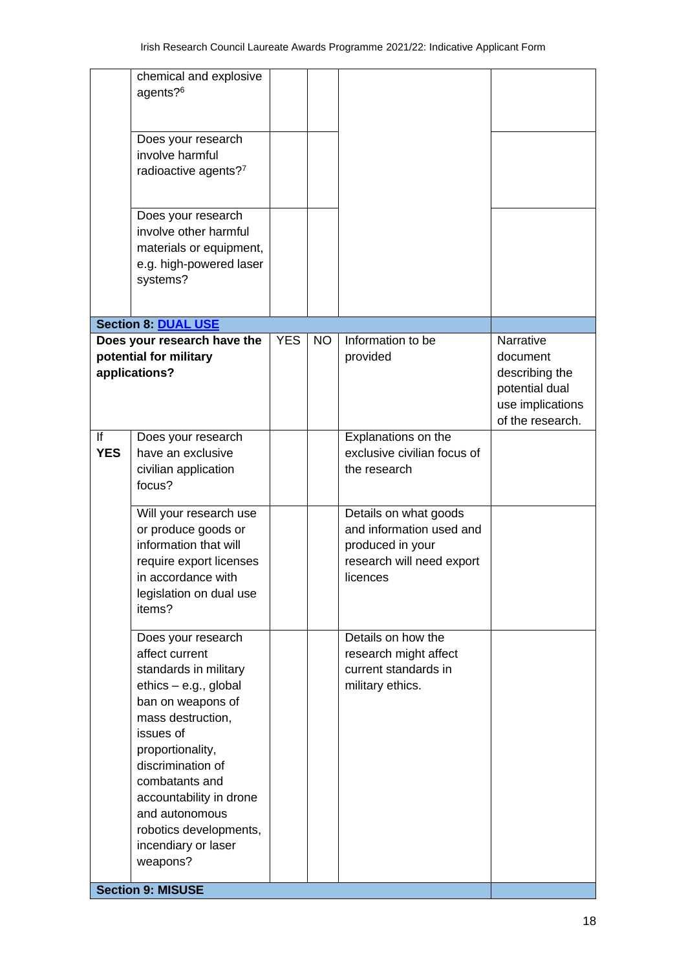| agents? <sup>6</sup><br>Does your research<br>involve harmful<br>radioactive agents?7<br>Does your research<br>involve other harmful<br>materials or equipment,<br>e.g. high-powered laser<br>systems?<br><b>Section 8: DUAL USE</b><br><b>YES</b><br>Information to be<br>Narrative<br>Does your research have the<br><b>NO</b><br>potential for military<br>provided<br>document<br>applications?<br>describing the<br>potential dual<br>use implications<br>of the research.<br>If<br>Explanations on the<br>Does your research<br><b>YES</b><br>exclusive civilian focus of<br>have an exclusive<br>the research<br>civilian application<br>focus?<br>Details on what goods<br>Will your research use<br>and information used and<br>or produce goods or<br>information that will<br>produced in your<br>require export licenses<br>research will need export<br>in accordance with<br>licences<br>legislation on dual use<br>items?<br>Details on how the<br>Does your research<br>affect current<br>research might affect<br>current standards in<br>standards in military<br>ethics - e.g., global<br>military ethics.<br>ban on weapons of<br>mass destruction,<br>issues of<br>proportionality,<br>discrimination of<br>combatants and<br>accountability in drone | chemical and explosive   |  |  |
|----------------------------------------------------------------------------------------------------------------------------------------------------------------------------------------------------------------------------------------------------------------------------------------------------------------------------------------------------------------------------------------------------------------------------------------------------------------------------------------------------------------------------------------------------------------------------------------------------------------------------------------------------------------------------------------------------------------------------------------------------------------------------------------------------------------------------------------------------------------------------------------------------------------------------------------------------------------------------------------------------------------------------------------------------------------------------------------------------------------------------------------------------------------------------------------------------------------------------------------------------------------------------|--------------------------|--|--|
|                                                                                                                                                                                                                                                                                                                                                                                                                                                                                                                                                                                                                                                                                                                                                                                                                                                                                                                                                                                                                                                                                                                                                                                                                                                                            |                          |  |  |
|                                                                                                                                                                                                                                                                                                                                                                                                                                                                                                                                                                                                                                                                                                                                                                                                                                                                                                                                                                                                                                                                                                                                                                                                                                                                            |                          |  |  |
|                                                                                                                                                                                                                                                                                                                                                                                                                                                                                                                                                                                                                                                                                                                                                                                                                                                                                                                                                                                                                                                                                                                                                                                                                                                                            |                          |  |  |
|                                                                                                                                                                                                                                                                                                                                                                                                                                                                                                                                                                                                                                                                                                                                                                                                                                                                                                                                                                                                                                                                                                                                                                                                                                                                            |                          |  |  |
|                                                                                                                                                                                                                                                                                                                                                                                                                                                                                                                                                                                                                                                                                                                                                                                                                                                                                                                                                                                                                                                                                                                                                                                                                                                                            |                          |  |  |
|                                                                                                                                                                                                                                                                                                                                                                                                                                                                                                                                                                                                                                                                                                                                                                                                                                                                                                                                                                                                                                                                                                                                                                                                                                                                            |                          |  |  |
|                                                                                                                                                                                                                                                                                                                                                                                                                                                                                                                                                                                                                                                                                                                                                                                                                                                                                                                                                                                                                                                                                                                                                                                                                                                                            |                          |  |  |
|                                                                                                                                                                                                                                                                                                                                                                                                                                                                                                                                                                                                                                                                                                                                                                                                                                                                                                                                                                                                                                                                                                                                                                                                                                                                            |                          |  |  |
|                                                                                                                                                                                                                                                                                                                                                                                                                                                                                                                                                                                                                                                                                                                                                                                                                                                                                                                                                                                                                                                                                                                                                                                                                                                                            |                          |  |  |
|                                                                                                                                                                                                                                                                                                                                                                                                                                                                                                                                                                                                                                                                                                                                                                                                                                                                                                                                                                                                                                                                                                                                                                                                                                                                            |                          |  |  |
|                                                                                                                                                                                                                                                                                                                                                                                                                                                                                                                                                                                                                                                                                                                                                                                                                                                                                                                                                                                                                                                                                                                                                                                                                                                                            |                          |  |  |
|                                                                                                                                                                                                                                                                                                                                                                                                                                                                                                                                                                                                                                                                                                                                                                                                                                                                                                                                                                                                                                                                                                                                                                                                                                                                            |                          |  |  |
|                                                                                                                                                                                                                                                                                                                                                                                                                                                                                                                                                                                                                                                                                                                                                                                                                                                                                                                                                                                                                                                                                                                                                                                                                                                                            |                          |  |  |
|                                                                                                                                                                                                                                                                                                                                                                                                                                                                                                                                                                                                                                                                                                                                                                                                                                                                                                                                                                                                                                                                                                                                                                                                                                                                            |                          |  |  |
|                                                                                                                                                                                                                                                                                                                                                                                                                                                                                                                                                                                                                                                                                                                                                                                                                                                                                                                                                                                                                                                                                                                                                                                                                                                                            |                          |  |  |
|                                                                                                                                                                                                                                                                                                                                                                                                                                                                                                                                                                                                                                                                                                                                                                                                                                                                                                                                                                                                                                                                                                                                                                                                                                                                            |                          |  |  |
|                                                                                                                                                                                                                                                                                                                                                                                                                                                                                                                                                                                                                                                                                                                                                                                                                                                                                                                                                                                                                                                                                                                                                                                                                                                                            |                          |  |  |
|                                                                                                                                                                                                                                                                                                                                                                                                                                                                                                                                                                                                                                                                                                                                                                                                                                                                                                                                                                                                                                                                                                                                                                                                                                                                            |                          |  |  |
|                                                                                                                                                                                                                                                                                                                                                                                                                                                                                                                                                                                                                                                                                                                                                                                                                                                                                                                                                                                                                                                                                                                                                                                                                                                                            |                          |  |  |
|                                                                                                                                                                                                                                                                                                                                                                                                                                                                                                                                                                                                                                                                                                                                                                                                                                                                                                                                                                                                                                                                                                                                                                                                                                                                            |                          |  |  |
|                                                                                                                                                                                                                                                                                                                                                                                                                                                                                                                                                                                                                                                                                                                                                                                                                                                                                                                                                                                                                                                                                                                                                                                                                                                                            |                          |  |  |
|                                                                                                                                                                                                                                                                                                                                                                                                                                                                                                                                                                                                                                                                                                                                                                                                                                                                                                                                                                                                                                                                                                                                                                                                                                                                            |                          |  |  |
|                                                                                                                                                                                                                                                                                                                                                                                                                                                                                                                                                                                                                                                                                                                                                                                                                                                                                                                                                                                                                                                                                                                                                                                                                                                                            |                          |  |  |
|                                                                                                                                                                                                                                                                                                                                                                                                                                                                                                                                                                                                                                                                                                                                                                                                                                                                                                                                                                                                                                                                                                                                                                                                                                                                            |                          |  |  |
|                                                                                                                                                                                                                                                                                                                                                                                                                                                                                                                                                                                                                                                                                                                                                                                                                                                                                                                                                                                                                                                                                                                                                                                                                                                                            |                          |  |  |
|                                                                                                                                                                                                                                                                                                                                                                                                                                                                                                                                                                                                                                                                                                                                                                                                                                                                                                                                                                                                                                                                                                                                                                                                                                                                            |                          |  |  |
|                                                                                                                                                                                                                                                                                                                                                                                                                                                                                                                                                                                                                                                                                                                                                                                                                                                                                                                                                                                                                                                                                                                                                                                                                                                                            |                          |  |  |
|                                                                                                                                                                                                                                                                                                                                                                                                                                                                                                                                                                                                                                                                                                                                                                                                                                                                                                                                                                                                                                                                                                                                                                                                                                                                            |                          |  |  |
|                                                                                                                                                                                                                                                                                                                                                                                                                                                                                                                                                                                                                                                                                                                                                                                                                                                                                                                                                                                                                                                                                                                                                                                                                                                                            |                          |  |  |
|                                                                                                                                                                                                                                                                                                                                                                                                                                                                                                                                                                                                                                                                                                                                                                                                                                                                                                                                                                                                                                                                                                                                                                                                                                                                            |                          |  |  |
|                                                                                                                                                                                                                                                                                                                                                                                                                                                                                                                                                                                                                                                                                                                                                                                                                                                                                                                                                                                                                                                                                                                                                                                                                                                                            |                          |  |  |
|                                                                                                                                                                                                                                                                                                                                                                                                                                                                                                                                                                                                                                                                                                                                                                                                                                                                                                                                                                                                                                                                                                                                                                                                                                                                            |                          |  |  |
|                                                                                                                                                                                                                                                                                                                                                                                                                                                                                                                                                                                                                                                                                                                                                                                                                                                                                                                                                                                                                                                                                                                                                                                                                                                                            |                          |  |  |
|                                                                                                                                                                                                                                                                                                                                                                                                                                                                                                                                                                                                                                                                                                                                                                                                                                                                                                                                                                                                                                                                                                                                                                                                                                                                            |                          |  |  |
|                                                                                                                                                                                                                                                                                                                                                                                                                                                                                                                                                                                                                                                                                                                                                                                                                                                                                                                                                                                                                                                                                                                                                                                                                                                                            |                          |  |  |
|                                                                                                                                                                                                                                                                                                                                                                                                                                                                                                                                                                                                                                                                                                                                                                                                                                                                                                                                                                                                                                                                                                                                                                                                                                                                            |                          |  |  |
|                                                                                                                                                                                                                                                                                                                                                                                                                                                                                                                                                                                                                                                                                                                                                                                                                                                                                                                                                                                                                                                                                                                                                                                                                                                                            | and autonomous           |  |  |
| robotics developments,                                                                                                                                                                                                                                                                                                                                                                                                                                                                                                                                                                                                                                                                                                                                                                                                                                                                                                                                                                                                                                                                                                                                                                                                                                                     |                          |  |  |
| incendiary or laser                                                                                                                                                                                                                                                                                                                                                                                                                                                                                                                                                                                                                                                                                                                                                                                                                                                                                                                                                                                                                                                                                                                                                                                                                                                        |                          |  |  |
| weapons?                                                                                                                                                                                                                                                                                                                                                                                                                                                                                                                                                                                                                                                                                                                                                                                                                                                                                                                                                                                                                                                                                                                                                                                                                                                                   |                          |  |  |
|                                                                                                                                                                                                                                                                                                                                                                                                                                                                                                                                                                                                                                                                                                                                                                                                                                                                                                                                                                                                                                                                                                                                                                                                                                                                            |                          |  |  |
|                                                                                                                                                                                                                                                                                                                                                                                                                                                                                                                                                                                                                                                                                                                                                                                                                                                                                                                                                                                                                                                                                                                                                                                                                                                                            | <b>Section 9: MISUSE</b> |  |  |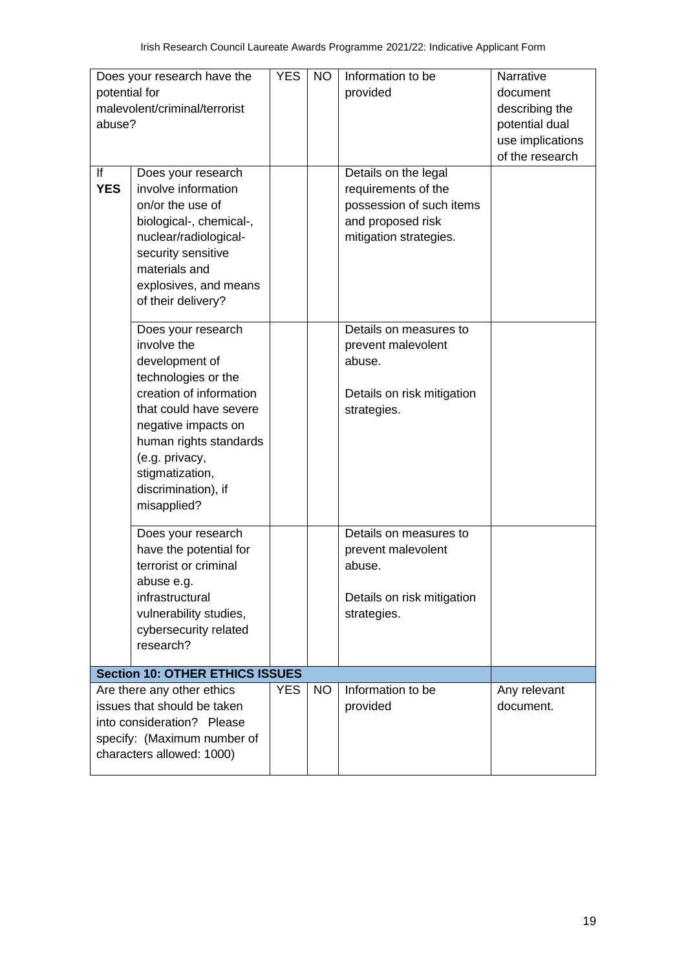| potential for | Does your research have the            | <b>YES</b> | <b>NO</b> | Information to be<br>provided | Narrative<br>document |  |  |  |
|---------------|----------------------------------------|------------|-----------|-------------------------------|-----------------------|--|--|--|
|               | malevolent/criminal/terrorist          |            |           |                               | describing the        |  |  |  |
| abuse?        |                                        |            |           |                               | potential dual        |  |  |  |
|               |                                        |            |           |                               | use implications      |  |  |  |
|               |                                        |            |           |                               | of the research       |  |  |  |
| If            | Does your research                     |            |           | Details on the legal          |                       |  |  |  |
| <b>YES</b>    | involve information                    |            |           | requirements of the           |                       |  |  |  |
|               | on/or the use of                       |            |           | possession of such items      |                       |  |  |  |
|               | biological-, chemical-,                |            |           | and proposed risk             |                       |  |  |  |
|               | nuclear/radiological-                  |            |           | mitigation strategies.        |                       |  |  |  |
|               | security sensitive<br>materials and    |            |           |                               |                       |  |  |  |
|               | explosives, and means                  |            |           |                               |                       |  |  |  |
|               | of their delivery?                     |            |           |                               |                       |  |  |  |
|               |                                        |            |           |                               |                       |  |  |  |
|               | Does your research                     |            |           | Details on measures to        |                       |  |  |  |
|               | involve the                            |            |           | prevent malevolent            |                       |  |  |  |
|               | development of                         |            |           | abuse.                        |                       |  |  |  |
|               | technologies or the                    |            |           |                               |                       |  |  |  |
|               | creation of information                |            |           | Details on risk mitigation    |                       |  |  |  |
|               | that could have severe                 |            |           | strategies.                   |                       |  |  |  |
|               | negative impacts on                    |            |           |                               |                       |  |  |  |
|               | human rights standards                 |            |           |                               |                       |  |  |  |
|               | (e.g. privacy,                         |            |           |                               |                       |  |  |  |
|               | stigmatization,                        |            |           |                               |                       |  |  |  |
|               | discrimination), if                    |            |           |                               |                       |  |  |  |
|               | misapplied?                            |            |           |                               |                       |  |  |  |
|               | Does your research                     |            |           | Details on measures to        |                       |  |  |  |
|               | have the potential for                 |            |           | prevent malevolent            |                       |  |  |  |
|               | terrorist or criminal                  |            |           | abuse.                        |                       |  |  |  |
|               | abuse e.g.                             |            |           |                               |                       |  |  |  |
|               | infrastructural                        |            |           | Details on risk mitigation    |                       |  |  |  |
|               | vulnerability studies,                 |            |           | strategies.                   |                       |  |  |  |
|               | cybersecurity related                  |            |           |                               |                       |  |  |  |
|               | research?                              |            |           |                               |                       |  |  |  |
|               | <b>Section 10: OTHER ETHICS ISSUES</b> |            |           |                               |                       |  |  |  |
|               | Are there any other ethics             | <b>YES</b> | <b>NO</b> | Information to be             | Any relevant          |  |  |  |
|               | issues that should be taken            |            |           | provided                      | document.             |  |  |  |
|               | into consideration? Please             |            |           |                               |                       |  |  |  |
|               | specify: (Maximum number of            |            |           |                               |                       |  |  |  |
|               | characters allowed: 1000)              |            |           |                               |                       |  |  |  |
|               |                                        |            |           |                               |                       |  |  |  |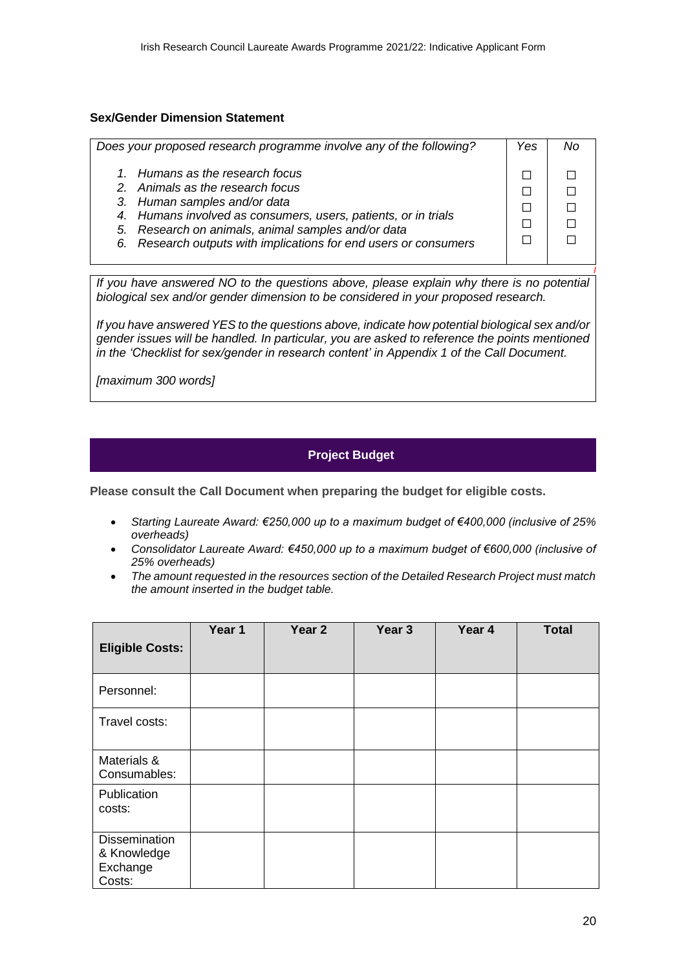#### **Sex/Gender Dimension Statement**

| Does your proposed research programme involve any of the following?                                                                                                                                                                                                                             | Yes |  |
|-------------------------------------------------------------------------------------------------------------------------------------------------------------------------------------------------------------------------------------------------------------------------------------------------|-----|--|
| 1. Humans as the research focus<br>2. Animals as the research focus<br>3. Human samples and/or data<br>4. Humans involved as consumers, users, patients, or in trials<br>5. Research on animals, animal samples and/or data<br>6. Research outputs with implications for end users or consumers |     |  |
|                                                                                                                                                                                                                                                                                                 |     |  |

*If you have answered NO to the questions above, please explain why there is no potential biological sex and/or gender dimension to be considered in your proposed research.* 

*If you have answered YES to the questions above, indicate how potential biological sex and/or gender issues will be handled. In particular, you are asked to reference the points mentioned in the 'Checklist for sex/gender in research content' in Appendix 1 of the Call Document.*

*[maximum 300 words]*

#### **Project Budget**

**Please consult the Call Document when preparing the budget for eligible costs.**

- *Starting Laureate Award: €250,000 up to a maximum budget of €400,000 (inclusive of 25% overheads)*
- *Consolidator Laureate Award: €450,000 up to a maximum budget of €600,000 (inclusive of 25% overheads)*
- *The amount requested in the resources section of the Detailed Research Project must match the amount inserted in the budget table.*

| <b>Eligible Costs:</b>                                    | Year 1 | Year <sub>2</sub> | Year <sub>3</sub> | Year 4 | <b>Total</b> |
|-----------------------------------------------------------|--------|-------------------|-------------------|--------|--------------|
| Personnel:                                                |        |                   |                   |        |              |
| Travel costs:                                             |        |                   |                   |        |              |
| Materials &<br>Consumables:                               |        |                   |                   |        |              |
| Publication<br>costs:                                     |        |                   |                   |        |              |
| <b>Dissemination</b><br>& Knowledge<br>Exchange<br>Costs: |        |                   |                   |        |              |

*I*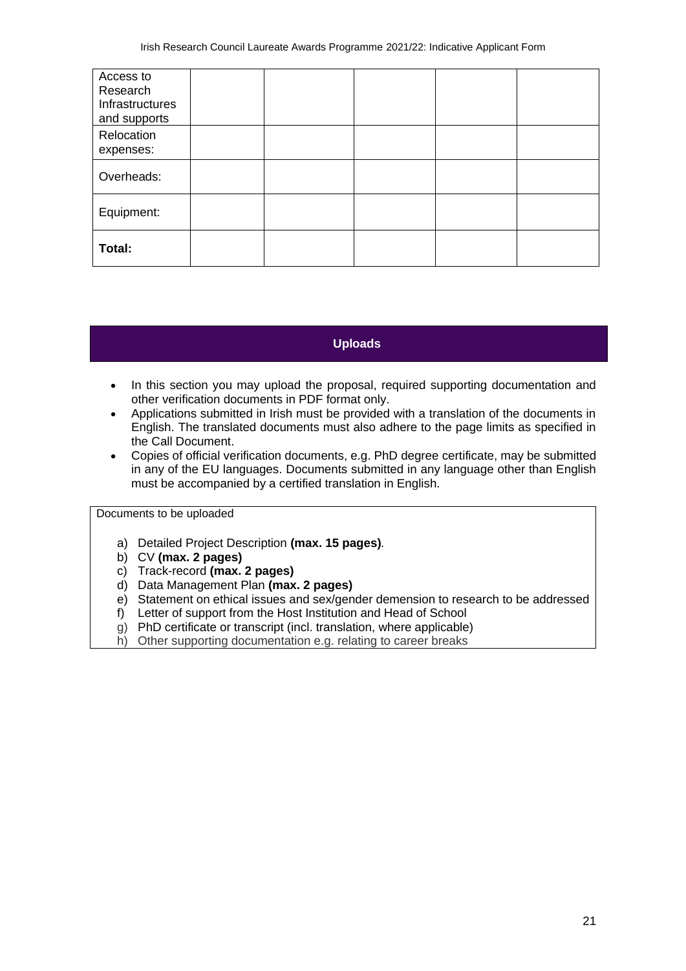| Access to<br>Research<br>Infrastructures<br>and supports |  |  |  |
|----------------------------------------------------------|--|--|--|
| Relocation<br>expenses:                                  |  |  |  |
| Overheads:                                               |  |  |  |
| Equipment:                                               |  |  |  |
| Total:                                                   |  |  |  |

## **Uploads**

- In this section you may upload the proposal, required supporting documentation and other verification documents in PDF format only.
- Applications submitted in Irish must be provided with a translation of the documents in English. The translated documents must also adhere to the page limits as specified in the Call Document.
- Copies of official verification documents, e.g. PhD degree certificate, may be submitted in any of the EU languages. Documents submitted in any language other than English must be accompanied by a certified translation in English.

Documents to be uploaded

- a) Detailed Project Description **(max. 15 pages)***.*
- b) CV **(max. 2 pages)**
- c) Track-record **(max. 2 pages)**
- d) Data Management Plan **(max. 2 pages)**
- e) Statement on ethical issues and sex/gender demension to research to be addressed
- f) Letter of support from the Host Institution and Head of School
- g) PhD certificate or transcript (incl. translation, where applicable)
- h) Other supporting documentation e.g. relating to career breaks